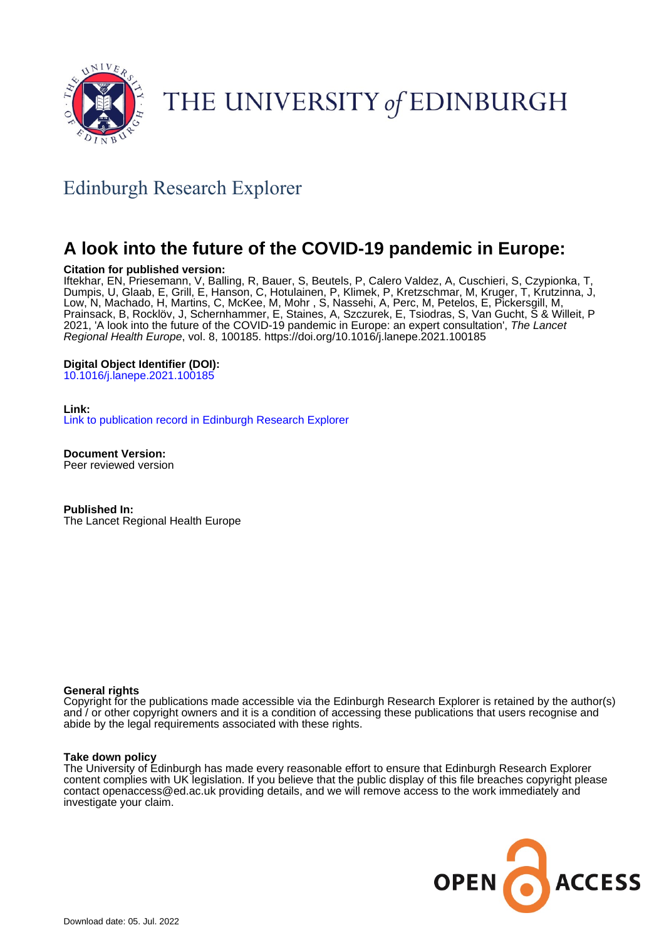

# THE UNIVERSITY of EDINBURGH

## Edinburgh Research Explorer

## **A look into the future of the COVID-19 pandemic in Europe:**

#### **Citation for published version:**

Iftekhar, EN, Priesemann, V, Balling, R, Bauer, S, Beutels, P, Calero Valdez, A, Cuschieri, S, Czypionka, T, Dumpis, U, Glaab, E, Grill, E, Hanson, C, Hotulainen, P, Klimek, P, Kretzschmar, M, Kruger, T, Krutzinna, J, Low, N, Machado, H, Martins, C, McKee, M, Mohr , S, Nassehi, A, Perc, M, Petelos, E, Pickersgill, M, Prainsack, B, Rocklöv, J, Schernhammer, E, Staines, A, Szczurek, E, Tsiodras, S, Van Gucht, S & Willeit, P 2021, 'A look into the future of the COVID-19 pandemic in Europe: an expert consultation', The Lancet Regional Health Europe, vol. 8, 100185.<https://doi.org/10.1016/j.lanepe.2021.100185>

#### **Digital Object Identifier (DOI):**

[10.1016/j.lanepe.2021.100185](https://doi.org/10.1016/j.lanepe.2021.100185)

#### **Link:**

[Link to publication record in Edinburgh Research Explorer](https://www.research.ed.ac.uk/en/publications/2627a440-7812-4146-93d3-83d1efccf64a)

**Document Version:** Peer reviewed version

**Published In:** The Lancet Regional Health Europe

#### **General rights**

Copyright for the publications made accessible via the Edinburgh Research Explorer is retained by the author(s) and / or other copyright owners and it is a condition of accessing these publications that users recognise and abide by the legal requirements associated with these rights.

#### **Take down policy**

The University of Edinburgh has made every reasonable effort to ensure that Edinburgh Research Explorer content complies with UK legislation. If you believe that the public display of this file breaches copyright please contact openaccess@ed.ac.uk providing details, and we will remove access to the work immediately and investigate your claim.

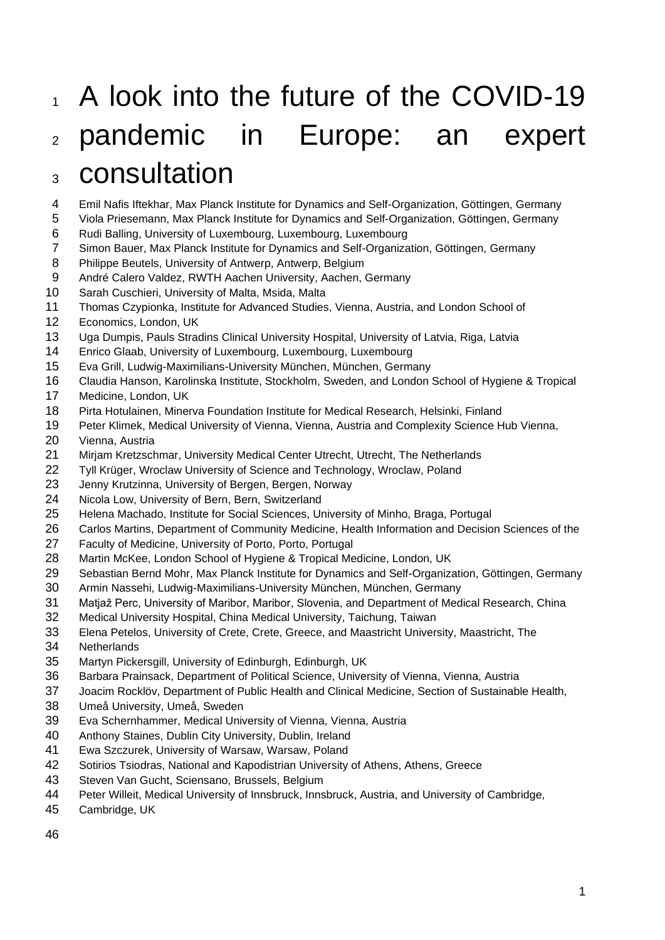# 1 A look into the future of the COVID-19 pandemic in Europe: an expert consultation

- Emil Nafis Iftekhar, Max Planck Institute for Dynamics and Self-Organization, Göttingen, Germany
- Viola Priesemann, Max Planck Institute for Dynamics and Self-Organization, Göttingen, Germany
- Rudi Balling, University of Luxembourg, Luxembourg, Luxembourg
- Simon Bauer, Max Planck Institute for Dynamics and Self-Organization, Göttingen, Germany
- Philippe Beutels, University of Antwerp, Antwerp, Belgium
- André Calero Valdez, RWTH Aachen University, Aachen, Germany
- Sarah Cuschieri, University of Malta, Msida, Malta
- Thomas Czypionka, Institute for Advanced Studies, Vienna, Austria, and London School of
- Economics, London, UK
- Uga Dumpis, Pauls Stradins Clinical University Hospital, University of Latvia, Riga, Latvia
- Enrico Glaab, University of Luxembourg, Luxembourg, Luxembourg
- Eva Grill, Ludwig-Maximilians-University München, München, Germany
- Claudia Hanson, Karolinska Institute, Stockholm, Sweden, and London School of Hygiene & Tropical
- Medicine, London, UK
- Pirta Hotulainen, Minerva Foundation Institute for Medical Research, Helsinki, Finland
- Peter Klimek, Medical University of Vienna, Vienna, Austria and Complexity Science Hub Vienna,
- Vienna, Austria
- Mirjam Kretzschmar, University Medical Center Utrecht, Utrecht, The Netherlands
- Tyll Krüger, Wroclaw University of Science and Technology, Wroclaw, Poland
- Jenny Krutzinna, University of Bergen, Bergen, Norway
- Nicola Low, University of Bern, Bern, Switzerland
- Helena Machado, Institute for Social Sciences, University of Minho, Braga, Portugal
- Carlos Martins, Department of Community Medicine, Health Information and Decision Sciences of the
- Faculty of Medicine, University of Porto, Porto, Portugal
- Martin McKee, London School of Hygiene & Tropical Medicine, London, UK
- Sebastian Bernd Mohr, Max Planck Institute for Dynamics and Self-Organization, Göttingen, Germany
- Armin Nassehi, Ludwig-Maximilians-University München, München, Germany
- Matjaž Perc, University of Maribor, Maribor, Slovenia, and Department of Medical Research, China
- Medical University Hospital, China Medical University, Taichung, Taiwan
- Elena Petelos, University of Crete, Crete, Greece, and Maastricht University, Maastricht, The
- Netherlands
- Martyn Pickersgill, University of Edinburgh, Edinburgh, UK
- Barbara Prainsack, Department of Political Science, University of Vienna, Vienna, Austria
- Joacim Rocklöv, Department of Public Health and Clinical Medicine, Section of Sustainable Health,
- Umeå University, Umeå, Sweden
- Eva Schernhammer, Medical University of Vienna, Vienna, Austria
- Anthony Staines, Dublin City University, Dublin, Ireland
- Ewa Szczurek, University of Warsaw, Warsaw, Poland
- Sotirios Tsiodras, National and Kapodistrian University of Athens, Athens, Greece
- Steven Van Gucht, Sciensano, Brussels, Belgium
- Peter Willeit, Medical University of Innsbruck, Innsbruck, Austria, and University of Cambridge,
- Cambridge, UK
-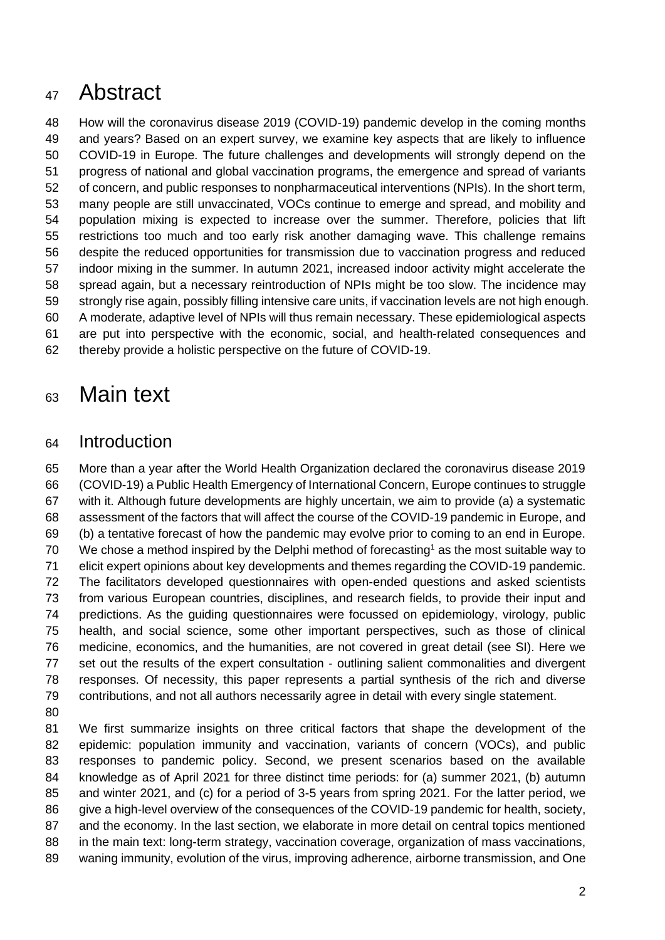# Abstract

 How will the coronavirus disease 2019 (COVID-19) pandemic develop in the coming months and years? Based on an expert survey, we examine key aspects that are likely to influence COVID-19 in Europe. The future challenges and developments will strongly depend on the progress of national and global vaccination programs, the emergence and spread of variants of concern, and public responses to nonpharmaceutical interventions (NPIs). In the short term, many people are still unvaccinated, VOCs continue to emerge and spread, and mobility and population mixing is expected to increase over the summer. Therefore, policies that lift restrictions too much and too early risk another damaging wave. This challenge remains despite the reduced opportunities for transmission due to vaccination progress and reduced indoor mixing in the summer. In autumn 2021, increased indoor activity might accelerate the spread again, but a necessary reintroduction of NPIs might be too slow. The incidence may strongly rise again, possibly filling intensive care units, if vaccination levels are not high enough. A moderate, adaptive level of NPIs will thus remain necessary. These epidemiological aspects are put into perspective with the economic, social, and health-related consequences and thereby provide a holistic perspective on the future of COVID-19.

# Main text

## Introduction

 More than a year after the World Health Organization declared the coronavirus disease 2019 (COVID-19) a Public Health Emergency of International Concern, Europe continues to struggle with it. Although future developments are highly uncertain, we aim to provide (a) a systematic assessment of the factors that will affect the course of the COVID-19 pandemic in Europe, and (b) a tentative forecast of how the pandemic may evolve prior to coming to an end in Europe. 70 We chose a method inspired by the Delphi method of forecasting<sup>1</sup> as the most suitable way to elicit expert opinions about key developments and themes regarding the COVID-19 pandemic. The facilitators developed questionnaires with open-ended questions and asked scientists from various European countries, disciplines, and research fields, to provide their input and predictions. As the guiding questionnaires were focussed on epidemiology, virology, public health, and social science, some other important perspectives, such as those of clinical medicine, economics, and the humanities, are not covered in great detail (see SI). Here we set out the results of the expert consultation - outlining salient commonalities and divergent responses. Of necessity, this paper represents a partial synthesis of the rich and diverse contributions, and not all authors necessarily agree in detail with every single statement.

 We first summarize insights on three critical factors that shape the development of the epidemic: population immunity and vaccination, variants of concern (VOCs), and public responses to pandemic policy. Second, we present scenarios based on the available knowledge as of April 2021 for three distinct time periods: for (a) summer 2021, (b) autumn and winter 2021, and (c) for a period of 3-5 years from spring 2021. For the latter period, we give a high-level overview of the consequences of the COVID-19 pandemic for health, society, and the economy. In the last section, we elaborate in more detail on central topics mentioned in the main text: long-term strategy, vaccination coverage, organization of mass vaccinations, waning immunity, evolution of the virus, improving adherence, airborne transmission, and One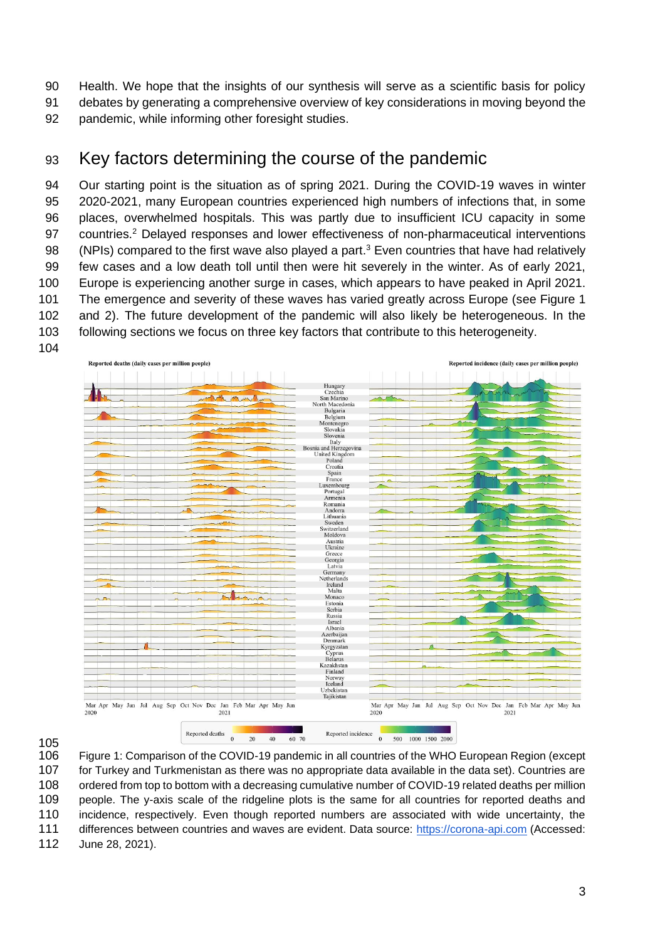Health. We hope that the insights of our synthesis will serve as a scientific basis for policy debates by generating a comprehensive overview of key considerations in moving beyond the

pandemic, while informing other foresight studies.

## Key factors determining the course of the pandemic

 Our starting point is the situation as of spring 2021. During the COVID-19 waves in winter 2020-2021, many European countries experienced high numbers of infections that, in some places, overwhelmed hospitals. This was partly due to insufficient ICU capacity in some 97 countries.<sup>2</sup> Delayed responses and lower effectiveness of non-pharmaceutical interventions 98 (NPIs) compared to the first wave also played a part.<sup>3</sup> Even countries that have had relatively few cases and a low death toll until then were hit severely in the winter. As of early 2021, Europe is experiencing another surge in cases, which appears to have peaked in April 2021. The emergence and severity of these waves has varied greatly across Europe (see Figure 1 and 2). The future development of the pandemic will also likely be heterogeneous. In the following sections we focus on three key factors that contribute to this heterogeneity.



 Figure 1: Comparison of the COVID-19 pandemic in all countries of the WHO European Region (except for Turkey and Turkmenistan as there was no appropriate data available in the data set). Countries are 108 ordered from top to bottom with a decreasing cumulative number of COVID-19 related deaths per million people. The y-axis scale of the ridgeline plots is the same for all countries for reported deaths and incidence, respectively. Even though reported numbers are associated with wide uncertainty, the differences between countries and waves are evident. Data source: [https://corona-api.com](https://corona-api.com/) (Accessed: June 28, 2021).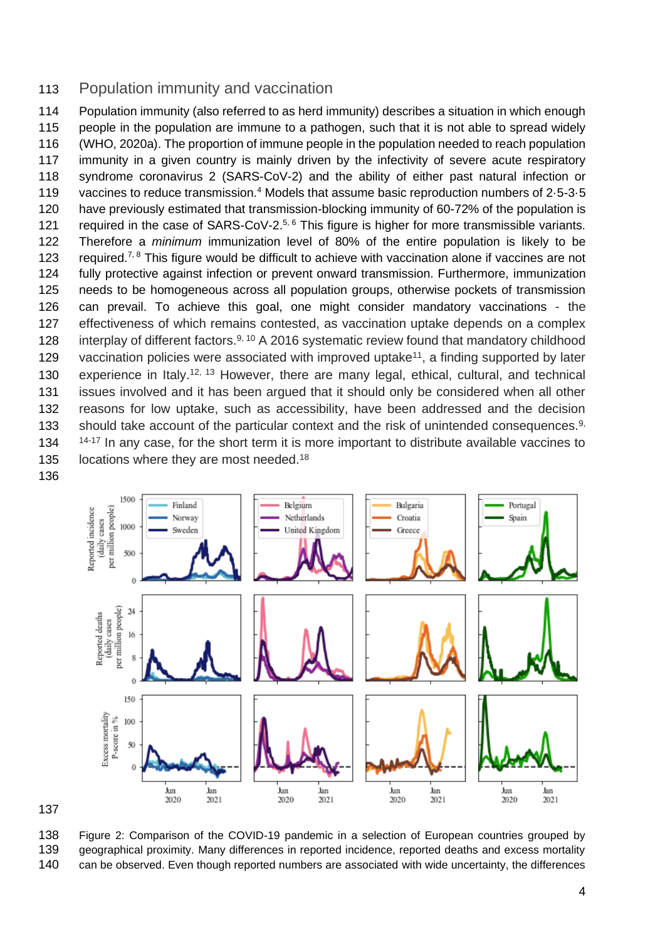## Population immunity and vaccination

 Population immunity (also referred to as herd immunity) describes a situation in which enough people in the population are immune to a pathogen, such that it is not able to spread widely (WHO, 2020a). The proportion of immune people in the population needed to reach population immunity in a given country is mainly driven by the infectivity of severe acute respiratory syndrome coronavirus 2 (SARS-CoV-2) and the ability of either past natural infection or 119 vaccines to reduce transmission.<sup>4</sup> Models that assume basic reproduction numbers of 2.5-3.5 have previously estimated that transmission-blocking immunity of 60-72% of the population is 121 required in the case of SARS-CoV-2. $5, 6$  This figure is higher for more transmissible variants. Therefore a *minimum* immunization level of 80% of the entire population is likely to be 123 required.<sup>7, 8</sup> This figure would be difficult to achieve with vaccination alone if vaccines are not fully protective against infection or prevent onward transmission. Furthermore, immunization needs to be homogeneous across all population groups, otherwise pockets of transmission can prevail. To achieve this goal, one might consider mandatory vaccinations - the effectiveness of which remains contested, as vaccination uptake depends on a complex 128 interplay of different factors.  $9, 10$  A 2016 systematic review found that mandatory childhood 129 vaccination policies were associated with improved uptake<sup>11</sup>, a finding supported by later 130 experience in Italy.<sup>12, 13</sup> However, there are many legal, ethical, cultural, and technical issues involved and it has been argued that it should only be considered when all other reasons for low uptake, such as accessibility, have been addressed and the decision 133 should take account of the particular context and the risk of unintended consequences.,  $14-17$  In any case, for the short term it is more important to distribute available vaccines to 135 locations where they are most needed.<sup>18</sup>



 Figure 2: Comparison of the COVID-19 pandemic in a selection of European countries grouped by geographical proximity. Many differences in reported incidence, reported deaths and excess mortality

can be observed. Even though reported numbers are associated with wide uncertainty, the differences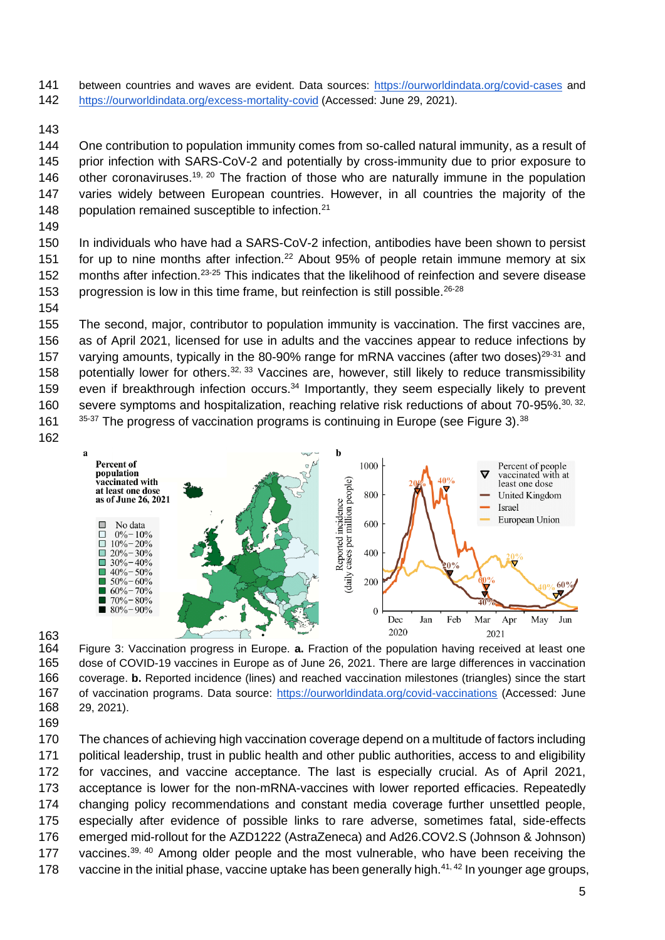- between countries and waves are evident. Data sources: <https://ourworldindata.org/covid-cases> and
- <https://ourworldindata.org/excess-mortality-covid> (Accessed: June 29, 2021).
- 

 One contribution to population immunity comes from so-called natural immunity, as a result of prior infection with SARS-CoV-2 and potentially by cross-immunity due to prior exposure to 146 other coronaviruses.<sup>19, 20</sup> The fraction of those who are naturally immune in the population varies widely between European countries. However, in all countries the majority of the 148 population remained susceptible to infection.<sup>21</sup>

 In individuals who have had a SARS-CoV-2 infection, antibodies have been shown to persist 151 for up to nine months after infection.<sup>22</sup> About 95% of people retain immune memory at six 152 months after infection.<sup>23-25</sup> This indicates that the likelihood of reinfection and severe disease 153 progression is low in this time frame, but reinfection is still possible.<sup>26-28</sup>

 The second, major, contributor to population immunity is vaccination. The first vaccines are, as of April 2021, licensed for use in adults and the vaccines appear to reduce infections by 157 varying amounts, typically in the 80-90% range for mRNA vaccines (after two doses)<sup>29-31</sup> and 158 potentially lower for others.  $32, 33$  Vaccines are, however, still likely to reduce transmissibility 159 even if breakthrough infection occurs.<sup>34</sup> Importantly, they seem especially likely to prevent 160 severe symptoms and hospitalization, reaching relative risk reductions of about 70-95%.<sup>30, 32,</sup>  $35-37$  The progress of vaccination programs is continuing in Europe (see Figure 3).  $38$ 





 Figure 3: Vaccination progress in Europe. **a.** Fraction of the population having received at least one dose of COVID-19 vaccines in Europe as of June 26, 2021. There are large differences in vaccination coverage. **b.** Reported incidence (lines) and reached vaccination milestones (triangles) since the start of vaccination programs. Data source:<https://ourworldindata.org/covid-vaccinations> (Accessed: June 29, 2021).

 The chances of achieving high vaccination coverage depend on a multitude of factors including political leadership, trust in public health and other public authorities, access to and eligibility for vaccines, and vaccine acceptance. The last is especially crucial. As of April 2021, acceptance is lower for the non-mRNA-vaccines with lower reported efficacies. Repeatedly changing policy recommendations and constant media coverage further unsettled people, especially after evidence of possible links to rare adverse, sometimes fatal, side-effects emerged mid-rollout for the AZD1222 (AstraZeneca) and Ad26.COV2.S (Johnson & Johnson) 177 vaccines.<sup>39, 40</sup> Among older people and the most vulnerable, who have been receiving the 178 vaccine in the initial phase, vaccine uptake has been generally high. $41, 42$  In younger age groups,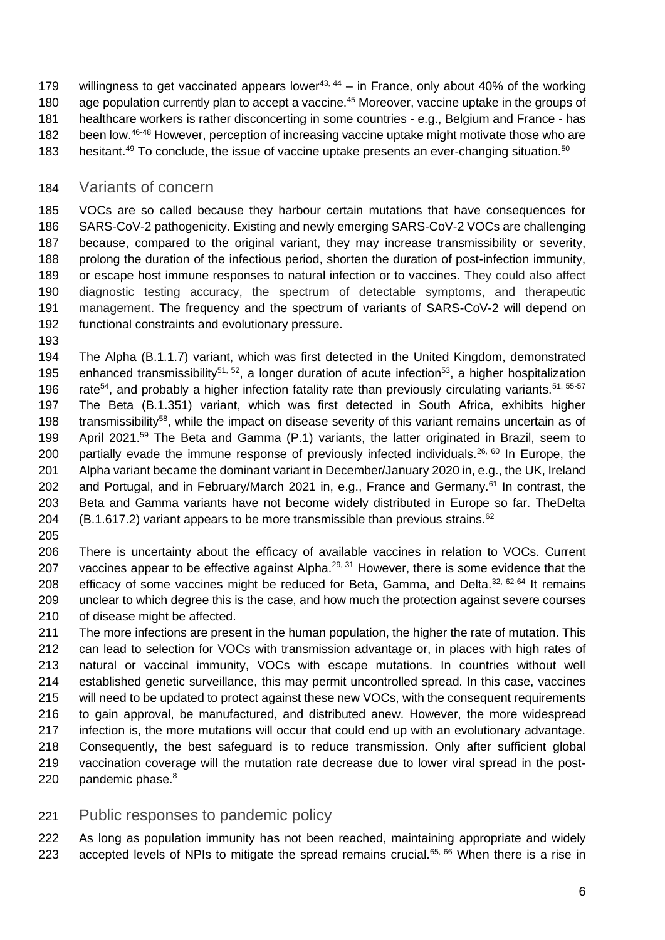- 179 willingness to get vaccinated appears lower<sup>43, 44</sup> in France, only about 40% of the working 180 age population currently plan to accept a vaccine.<sup>45</sup> Moreover, vaccine uptake in the groups of healthcare workers is rather disconcerting in some countries - e.g., Belgium and France - has 182 been low. <sup>46-48</sup> However, perception of increasing vaccine uptake might motivate those who are
- 183 hesitant.<sup>49</sup> To conclude, the issue of vaccine uptake presents an ever-changing situation.<sup>50</sup>

## Variants of concern

 VOCs are so called because they harbour certain mutations that have consequences for SARS-CoV-2 pathogenicity. Existing and newly emerging SARS-CoV-2 VOCs are challenging because, compared to the original variant, they may increase transmissibility or severity, prolong the duration of the infectious period, shorten the duration of post-infection immunity, or escape host immune responses to natural infection or to vaccines. They could also affect diagnostic testing accuracy, the spectrum of detectable symptoms, and therapeutic management. The frequency and the spectrum of variants of SARS-CoV-2 will depend on functional constraints and evolutionary pressure.

 The Alpha (B.1.1.7) variant, which was first detected in the United Kingdom, demonstrated 195 enhanced transmissibility<sup>51, 52</sup>, a longer duration of acute infection<sup>53</sup>, a higher hospitalization 196 rate<sup>54</sup>, and probably a higher infection fatality rate than previously circulating variants.<sup>51, 55-57</sup> The Beta (B.1.351) variant, which was first detected in South Africa, exhibits higher 198  $\pm$  transmissibility<sup>58</sup>, while the impact on disease severity of this variant remains uncertain as of 199 April 2021.<sup>59</sup> The Beta and Gamma (P.1) variants, the latter originated in Brazil, seem to 200 partially evade the immune response of previously infected individuals.<sup>26, 60</sup> In Europe, the Alpha variant became the dominant variant in December/January 2020 in, e.g., the UK, Ireland 202 and Portugal, and in February/March 2021 in, e.g., France and Germany.<sup>61</sup> In contrast, the Beta and Gamma variants have not become widely distributed in Europe so far. TheDelta 204 (B.1.617.2) variant appears to be more transmissible than previous strains.<sup>62</sup>

 There is uncertainty about the efficacy of available vaccines in relation to VOCs. Current 207 vaccines appear to be effective against Alpha. $^{29, 31}$  However, there is some evidence that the 208 efficacy of some vaccines might be reduced for Beta, Gamma, and Delta.  $32,62.64$  It remains unclear to which degree this is the case, and how much the protection against severe courses of disease might be affected.

 The more infections are present in the human population, the higher the rate of mutation. This can lead to selection for VOCs with transmission advantage or, in places with high rates of natural or vaccinal immunity, VOCs with escape mutations. In countries without well established genetic surveillance, this may permit uncontrolled spread. In this case, vaccines will need to be updated to protect against these new VOCs, with the consequent requirements to gain approval, be manufactured, and distributed anew. However, the more widespread infection is, the more mutations will occur that could end up with an evolutionary advantage. Consequently, the best safeguard is to reduce transmission. Only after sufficient global vaccination coverage will the mutation rate decrease due to lower viral spread in the post-220 pandemic phase. $8<sup>8</sup>$ 

## Public responses to pandemic policy

 As long as population immunity has not been reached, maintaining appropriate and widely 223 accepted levels of NPIs to mitigate the spread remains crucial.<sup>65, 66</sup> When there is a rise in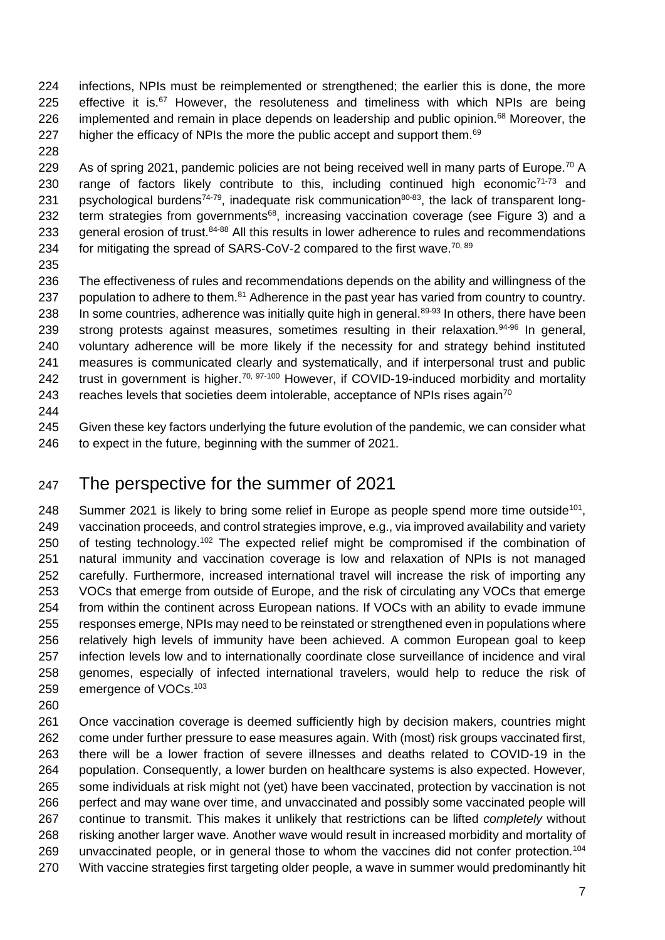- infections, NPIs must be reimplemented or strengthened; the earlier this is done, the more 225 effective it is. However, the resoluteness and timeliness with which NPIs are being 226 implemented and remain in place depends on leadership and public opinion.<sup>68</sup> Moreover, the 227 higher the efficacy of NPIs the more the public accept and support them.
- 

229 As of spring 2021, pandemic policies are not being received well in many parts of Europe.<sup>70</sup> A 230 range of factors likely contribute to this, including continued high economic<sup>71-73</sup> and 231 psychological burdens<sup>74-79</sup>, inadequate risk communication<sup>80-83</sup>, the lack of transparent long-232 term strategies from governments<sup>68</sup>, increasing vaccination coverage (see Figure 3) and a 233 general erosion of trust.<sup>84-88</sup> All this results in lower adherence to rules and recommendations 234 for mitigating the spread of SARS-CoV-2 compared to the first wave.<sup>70, 89</sup>

 The effectiveness of rules and recommendations depends on the ability and willingness of the 237 population to adhere to them. Adherence in the past year has varied from country to country. 238 In some countries, adherence was initially quite high in general.<sup>89-93</sup> In others, there have been 239 strong protests against measures, sometimes resulting in their relaxation.<sup>94-96</sup> In general, voluntary adherence will be more likely if the necessity for and strategy behind instituted measures is communicated clearly and systematically, and if interpersonal trust and public 242 trust in government is higher.<sup>70, 97-100</sup> However, if COVID-19-induced morbidity and mortality 243 reaches levels that societies deem intolerable, acceptance of NPIs rises again<sup>70</sup>

 Given these key factors underlying the future evolution of the pandemic, we can consider what 246 to expect in the future, beginning with the summer of 2021.

## The perspective for the summer of 2021

248 Summer 2021 is likely to bring some relief in Europe as people spend more time outside<sup>101</sup>. vaccination proceeds, and control strategies improve, e.g., via improved availability and variety 250 of testing technology.<sup>102</sup> The expected relief might be compromised if the combination of natural immunity and vaccination coverage is low and relaxation of NPIs is not managed carefully. Furthermore, increased international travel will increase the risk of importing any VOCs that emerge from outside of Europe, and the risk of circulating any VOCs that emerge from within the continent across European nations. If VOCs with an ability to evade immune responses emerge, NPIs may need to be reinstated or strengthened even in populations where relatively high levels of immunity have been achieved. A common European goal to keep infection levels low and to internationally coordinate close surveillance of incidence and viral genomes, especially of infected international travelers, would help to reduce the risk of 259 emergence of VOCs.<sup>103</sup>

 Once vaccination coverage is deemed sufficiently high by decision makers, countries might come under further pressure to ease measures again. With (most) risk groups vaccinated first, there will be a lower fraction of severe illnesses and deaths related to COVID-19 in the population. Consequently, a lower burden on healthcare systems is also expected. However, some individuals at risk might not (yet) have been vaccinated, protection by vaccination is not perfect and may wane over time, and unvaccinated and possibly some vaccinated people will continue to transmit. This makes it unlikely that restrictions can be lifted *completely* without risking another larger wave. Another wave would result in increased morbidity and mortality of 269 unvaccinated people, or in general those to whom the vaccines did not confer protection.<sup>104</sup> With vaccine strategies first targeting older people, a wave in summer would predominantly hit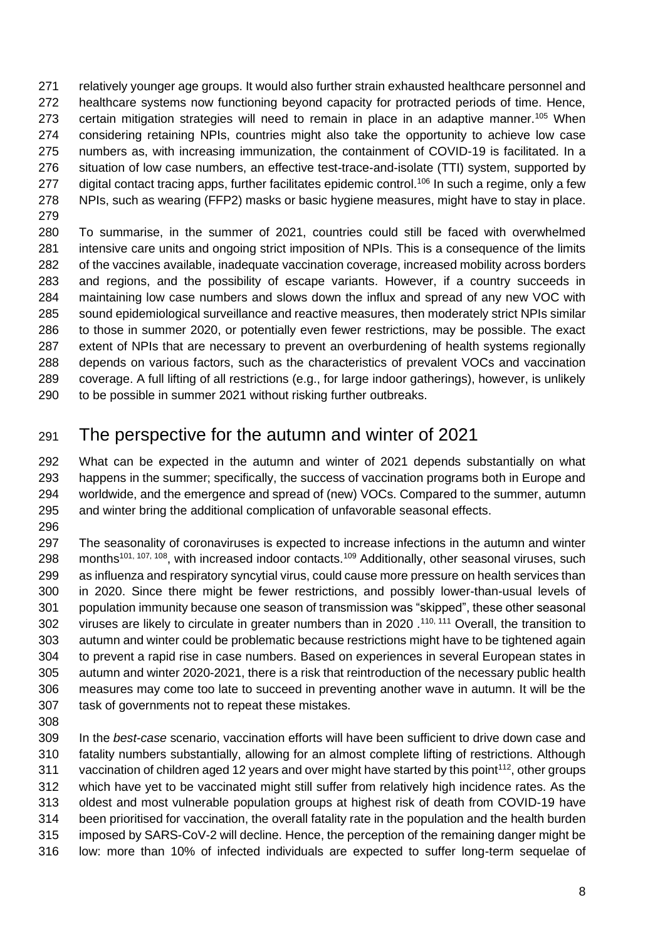relatively younger age groups. It would also further strain exhausted healthcare personnel and healthcare systems now functioning beyond capacity for protracted periods of time. Hence, 273 certain mitigation strategies will need to remain in place in an adaptive manner.<sup>105</sup> When considering retaining NPIs, countries might also take the opportunity to achieve low case numbers as, with increasing immunization, the containment of COVID-19 is facilitated. In a situation of low case numbers, an effective test-trace-and-isolate (TTI) system, supported by 277 digital contact tracing apps, further facilitates epidemic control.<sup>106</sup> In such a regime, only a few NPIs, such as wearing (FFP2) masks or basic hygiene measures, might have to stay in place. 

 To summarise, in the summer of 2021, countries could still be faced with overwhelmed intensive care units and ongoing strict imposition of NPIs. This is a consequence of the limits of the vaccines available, inadequate vaccination coverage, increased mobility across borders and regions, and the possibility of escape variants. However, if a country succeeds in maintaining low case numbers and slows down the influx and spread of any new VOC with sound epidemiological surveillance and reactive measures, then moderately strict NPIs similar to those in summer 2020, or potentially even fewer restrictions, may be possible. The exact extent of NPIs that are necessary to prevent an overburdening of health systems regionally depends on various factors, such as the characteristics of prevalent VOCs and vaccination coverage. A full lifting of all restrictions (e.g., for large indoor gatherings), however, is unlikely to be possible in summer 2021 without risking further outbreaks.

## The perspective for the autumn and winter of 2021

 What can be expected in the autumn and winter of 2021 depends substantially on what happens in the summer; specifically, the success of vaccination programs both in Europe and worldwide, and the emergence and spread of (new) VOCs. Compared to the summer, autumn and winter bring the additional complication of unfavorable seasonal effects.

 The seasonality of coronaviruses is expected to increase infections in the autumn and winter 298 months<sup>101, 107, 108</sup>, with increased indoor contacts.<sup>109</sup> Additionally, other seasonal viruses, such as influenza and respiratory syncytial virus, could cause more pressure on health services than in 2020. Since there might be fewer restrictions, and possibly lower-than-usual levels of population immunity because one season of transmission was "skipped", these other seasonal 302 viruses are likely to circulate in greater numbers than in 2020 .<sup>110, 111</sup> Overall, the transition to autumn and winter could be problematic because restrictions might have to be tightened again to prevent a rapid rise in case numbers. Based on experiences in several European states in autumn and winter 2020-2021, there is a risk that reintroduction of the necessary public health measures may come too late to succeed in preventing another wave in autumn. It will be the task of governments not to repeat these mistakes.

 In the *best-case* scenario, vaccination efforts will have been sufficient to drive down case and fatality numbers substantially, allowing for an almost complete lifting of restrictions. Although 311 vaccination of children aged 12 years and over might have started by this point<sup>112</sup>, other groups which have yet to be vaccinated might still suffer from relatively high incidence rates. As the oldest and most vulnerable population groups at highest risk of death from COVID-19 have been prioritised for vaccination, the overall fatality rate in the population and the health burden imposed by SARS-CoV-2 will decline. Hence, the perception of the remaining danger might be low: more than 10% of infected individuals are expected to suffer long-term sequelae of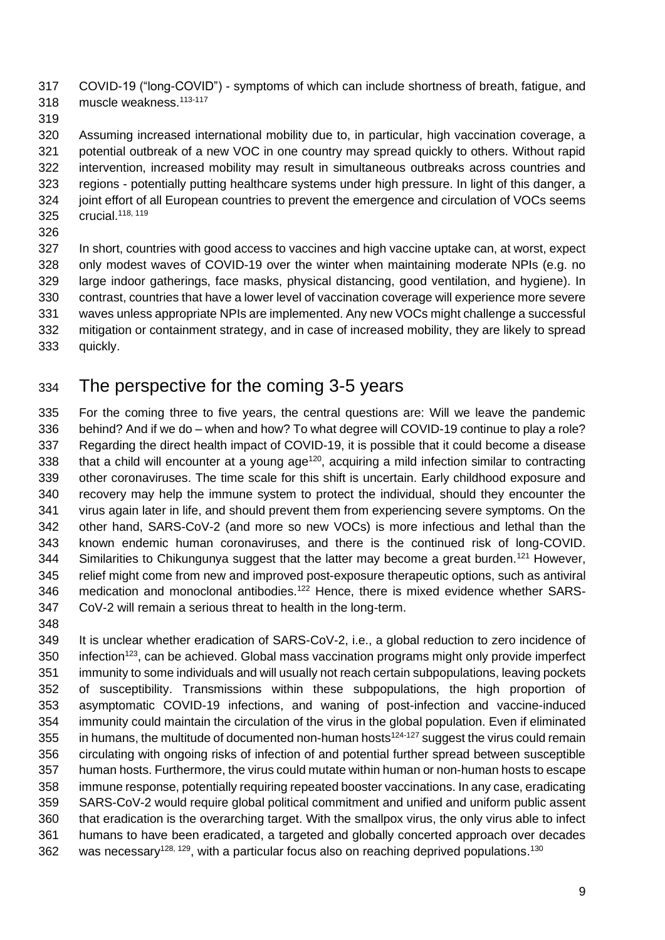COVID-19 ("long-COVID") - symptoms of which can include shortness of breath, fatigue, and 318 muscle weakness.<sup>113-117</sup>

 Assuming increased international mobility due to, in particular, high vaccination coverage, a potential outbreak of a new VOC in one country may spread quickly to others. Without rapid intervention, increased mobility may result in simultaneous outbreaks across countries and regions - potentially putting healthcare systems under high pressure. In light of this danger, a joint effort of all European countries to prevent the emergence and circulation of VOCs seems 325 crucial.<sup>118, 119</sup>

 In short, countries with good access to vaccines and high vaccine uptake can, at worst, expect only modest waves of COVID-19 over the winter when maintaining moderate NPIs (e.g. no large indoor gatherings, face masks, physical distancing, good ventilation, and hygiene). In contrast, countries that have a lower level of vaccination coverage will experience more severe waves unless appropriate NPIs are implemented. Any new VOCs might challenge a successful mitigation or containment strategy, and in case of increased mobility, they are likely to spread quickly.

## The perspective for the coming 3-5 years

 For the coming three to five years, the central questions are: Will we leave the pandemic behind? And if we do – when and how? To what degree will COVID-19 continue to play a role? Regarding the direct health impact of COVID-19, it is possible that it could become a disease 338 that a child will encounter at a young age<sup>120</sup>, acquiring a mild infection similar to contracting other coronaviruses. The time scale for this shift is uncertain. Early childhood exposure and recovery may help the immune system to protect the individual, should they encounter the virus again later in life, and should prevent them from experiencing severe symptoms. On the other hand, SARS-CoV-2 (and more so new VOCs) is more infectious and lethal than the known endemic human coronaviruses, and there is the continued risk of long-COVID. 344 Similarities to Chikungunya suggest that the latter may become a great burden.<sup>121</sup> However, relief might come from new and improved post-exposure therapeutic options, such as antiviral medication and monoclonal antibodies.<sup>122</sup> Hence, there is mixed evidence whether SARS-CoV-2 will remain a serious threat to health in the long-term.

 It is unclear whether eradication of SARS-CoV-2, i.e., a global reduction to zero incidence of 350 infection<sup>123</sup>, can be achieved. Global mass vaccination programs might only provide imperfect immunity to some individuals and will usually not reach certain subpopulations, leaving pockets of susceptibility. Transmissions within these subpopulations, the high proportion of asymptomatic COVID-19 infections, and waning of post-infection and vaccine-induced immunity could maintain the circulation of the virus in the global population. Even if eliminated 355 in humans, the multitude of documented non-human hosts<sup>124-127</sup> suggest the virus could remain circulating with ongoing risks of infection of and potential further spread between susceptible human hosts. Furthermore, the virus could mutate within human or non-human hosts to escape immune response, potentially requiring repeated booster vaccinations. In any case, eradicating SARS-CoV-2 would require global political commitment and unified and uniform public assent that eradication is the overarching target. With the smallpox virus, the only virus able to infect humans to have been eradicated, a targeted and globally concerted approach over decades 362 was necessary<sup>128, 129</sup>, with a particular focus also on reaching deprived populations.<sup>130</sup>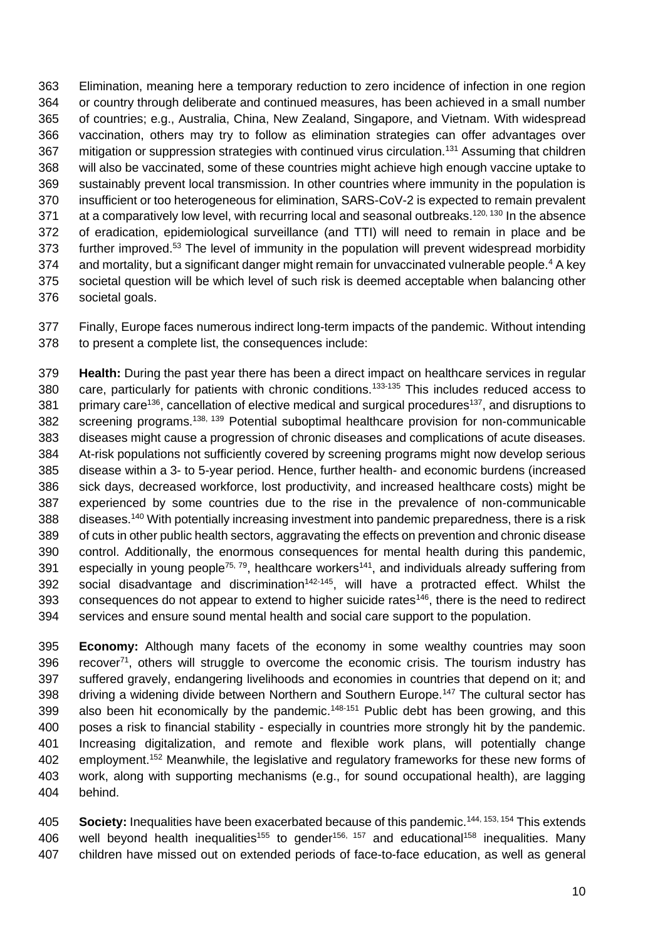Elimination, meaning here a temporary reduction to zero incidence of infection in one region or country through deliberate and continued measures, has been achieved in a small number of countries; e.g., Australia, China, New Zealand, Singapore, and Vietnam. With widespread vaccination, others may try to follow as elimination strategies can offer advantages over 367 mitigation or suppression strategies with continued virus circulation.<sup>131</sup> Assuming that children will also be vaccinated, some of these countries might achieve high enough vaccine uptake to sustainably prevent local transmission. In other countries where immunity in the population is insufficient or too heterogeneous for elimination, SARS-CoV-2 is expected to remain prevalent 371 at a comparatively low level, with recurring local and seasonal outbreaks.<sup>120, 130</sup> In the absence of eradication, epidemiological surveillance (and TTI) will need to remain in place and be 373 further improved.<sup>53</sup> The level of immunity in the population will prevent widespread morbidity 374 and mortality, but a significant danger might remain for unvaccinated vulnerable people.<sup>4</sup> A key societal question will be which level of such risk is deemed acceptable when balancing other societal goals.

 Finally, Europe faces numerous indirect long-term impacts of the pandemic. Without intending to present a complete list, the consequences include:

 **Health:** During the past year there has been a direct impact on healthcare services in regular 380 care, particularly for patients with chronic conditions.<sup>133-135</sup> This includes reduced access to 381 primary care<sup>136</sup>, cancellation of elective medical and surgical procedures<sup>137</sup>, and disruptions to 382 screening programs.<sup>138, 139</sup> Potential suboptimal healthcare provision for non-communicable diseases might cause a progression of chronic diseases and complications of acute diseases. At-risk populations not sufficiently covered by screening programs might now develop serious disease within a 3- to 5-year period. Hence, further health- and economic burdens (increased sick days, decreased workforce, lost productivity, and increased healthcare costs) might be experienced by some countries due to the rise in the prevalence of non-communicable 388 diseases.<sup>140</sup> With potentially increasing investment into pandemic preparedness, there is a risk of cuts in other public health sectors, aggravating the effects on prevention and chronic disease control. Additionally, the enormous consequences for mental health during this pandemic, 391 especially in young people<sup>75, 79</sup>, healthcare workers<sup>141</sup>, and individuals already suffering from 392 social disadvantage and discrimination<sup>142-145</sup>, will have a protracted effect. Whilst the 393 consequences do not appear to extend to higher suicide rates<sup> $146$ </sup>, there is the need to redirect services and ensure sound mental health and social care support to the population.

 **Economy:** Although many facets of the economy in some wealthy countries may soon 396 recover, others will struggle to overcome the economic crisis. The tourism industry has suffered gravely, endangering livelihoods and economies in countries that depend on it; and 398 driving a widening divide between Northern and Southern Europe.<sup>147</sup> The cultural sector has 399 also been hit economically by the pandemic.<sup>148-151</sup> Public debt has been growing, and this poses a risk to financial stability - especially in countries more strongly hit by the pandemic. Increasing digitalization, and remote and flexible work plans, will potentially change 402 employment.<sup>152</sup> Meanwhile, the legislative and regulatory frameworks for these new forms of work, along with supporting mechanisms (e.g., for sound occupational health), are lagging behind.

405 **Society:** Inequalities have been exacerbated because of this pandemic.<sup>144, 153, 154</sup> This extends 406 well beyond health inequalities<sup>155</sup> to gender<sup>156, 157</sup> and educational<sup>158</sup> inequalities. Many children have missed out on extended periods of face-to-face education, as well as general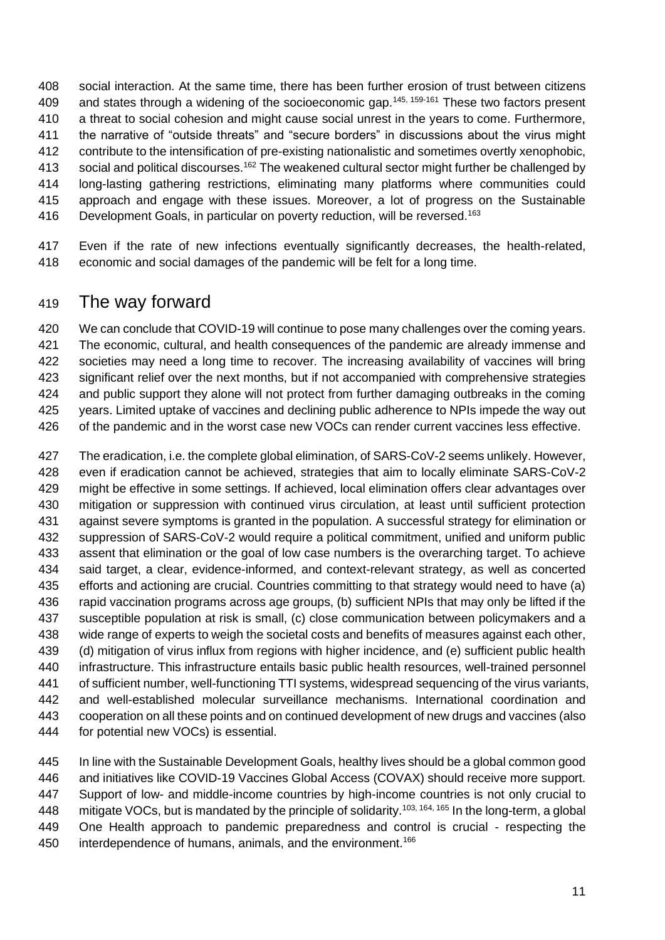social interaction. At the same time, there has been further erosion of trust between citizens 409 and states through a widening of the socioeconomic gap.<sup>145, 159-161</sup> These two factors present a threat to social cohesion and might cause social unrest in the years to come. Furthermore, the narrative of "outside threats" and "secure borders" in discussions about the virus might contribute to the intensification of pre-existing nationalistic and sometimes overtly xenophobic, 413 social and political discourses.<sup>162</sup> The weakened cultural sector might further be challenged by long-lasting gathering restrictions, eliminating many platforms where communities could approach and engage with these issues. Moreover, a lot of progress on the Sustainable 416 Development Goals, in particular on poverty reduction, will be reversed.<sup>163</sup>

 Even if the rate of new infections eventually significantly decreases, the health-related, economic and social damages of the pandemic will be felt for a long time.

## The way forward

 We can conclude that COVID-19 will continue to pose many challenges over the coming years. The economic, cultural, and health consequences of the pandemic are already immense and societies may need a long time to recover. The increasing availability of vaccines will bring significant relief over the next months, but if not accompanied with comprehensive strategies and public support they alone will not protect from further damaging outbreaks in the coming years. Limited uptake of vaccines and declining public adherence to NPIs impede the way out 426 of the pandemic and in the worst case new VOCs can render current vaccines less effective.

 The eradication, i.e. the complete global elimination, of SARS-CoV-2 seems unlikely. However, even if eradication cannot be achieved, strategies that aim to locally eliminate SARS-CoV-2 might be effective in some settings. If achieved, local elimination offers clear advantages over mitigation or suppression with continued virus circulation, at least until sufficient protection against severe symptoms is granted in the population. A successful strategy for elimination or suppression of SARS-CoV-2 would require a political commitment, unified and uniform public assent that elimination or the goal of low case numbers is the overarching target. To achieve said target, a clear, evidence-informed, and context-relevant strategy, as well as concerted efforts and actioning are crucial. Countries committing to that strategy would need to have (a) rapid vaccination programs across age groups, (b) sufficient NPIs that may only be lifted if the susceptible population at risk is small, (c) close communication between policymakers and a wide range of experts to weigh the societal costs and benefits of measures against each other, (d) mitigation of virus influx from regions with higher incidence, and (e) sufficient public health infrastructure. This infrastructure entails basic public health resources, well-trained personnel of sufficient number, well-functioning TTI systems, widespread sequencing of the virus variants, and well-established molecular surveillance mechanisms. International coordination and cooperation on all these points and on continued development of new drugs and vaccines (also for potential new VOCs) is essential.

 In line with the Sustainable Development Goals, healthy lives should be a global common good and initiatives like COVID-19 Vaccines Global Access (COVAX) should receive more support. Support of low- and middle-income countries by high-income countries is not only crucial to 448 mitigate VOCs, but is mandated by the principle of solidarity.<sup>103, 164, 165</sup> In the long-term, a global One Health approach to pandemic preparedness and control is crucial - respecting the 450 interdependence of humans, animals, and the environment.<sup>166</sup>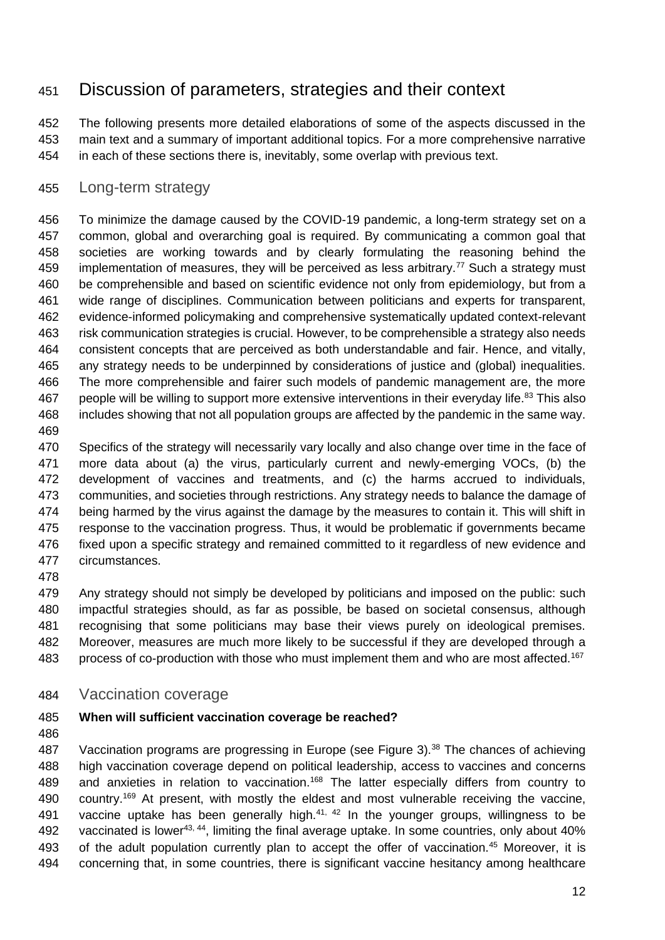## Discussion of parameters, strategies and their context

 The following presents more detailed elaborations of some of the aspects discussed in the main text and a summary of important additional topics. For a more comprehensive narrative in each of these sections there is, inevitably, some overlap with previous text.

### Long-term strategy

 To minimize the damage caused by the COVID-19 pandemic, a long-term strategy set on a common, global and overarching goal is required. By communicating a common goal that societies are working towards and by clearly formulating the reasoning behind the implementation of measures, they will be perceived as less arbitrary.<sup>77</sup> Such a strategy must 460 be comprehensible and based on scientific evidence not only from epidemiology, but from a wide range of disciplines. Communication between politicians and experts for transparent, evidence-informed policymaking and comprehensive systematically updated context-relevant risk communication strategies is crucial. However, to be comprehensible a strategy also needs consistent concepts that are perceived as both understandable and fair. Hence, and vitally, any strategy needs to be underpinned by considerations of justice and (global) inequalities. The more comprehensible and fairer such models of pandemic management are, the more 467 people will be willing to support more extensive interventions in their everyday life.<sup>83</sup> This also includes showing that not all population groups are affected by the pandemic in the same way. 

 Specifics of the strategy will necessarily vary locally and also change over time in the face of more data about (a) the virus, particularly current and newly-emerging VOCs, (b) the development of vaccines and treatments, and (c) the harms accrued to individuals, communities, and societies through restrictions. Any strategy needs to balance the damage of 474 being harmed by the virus against the damage by the measures to contain it. This will shift in 475 response to the vaccination progress. Thus, it would be problematic if governments became 476 fixed upon a specific strategy and remained committed to it regardless of new evidence and circumstances.

479 Any strategy should not simply be developed by politicians and imposed on the public: such impactful strategies should, as far as possible, be based on societal consensus, although recognising that some politicians may base their views purely on ideological premises. Moreover, measures are much more likely to be successful if they are developed through a process of co-production with those who must implement them and who are most affected.<sup>167</sup>

Vaccination coverage

#### **When will sufficient vaccination coverage be reached?**

487 Vaccination programs are progressing in Europe (see Figure 3).<sup>38</sup> The chances of achieving high vaccination coverage depend on political leadership, access to vaccines and concerns 489 and anxieties in relation to vaccination.<sup>168</sup> The latter especially differs from country to 490 country.<sup>169</sup> At present, with mostly the eldest and most vulnerable receiving the vaccine, 491 vaccine uptake has been generally high. $41, 42$  In the younger groups, willingness to be 492 vaccinated is lower<sup>43, 44</sup>, limiting the final average uptake. In some countries, only about  $40\%$ 493 of the adult population currently plan to accept the offer of vaccination.<sup>45</sup> Moreover, it is concerning that, in some countries, there is significant vaccine hesitancy among healthcare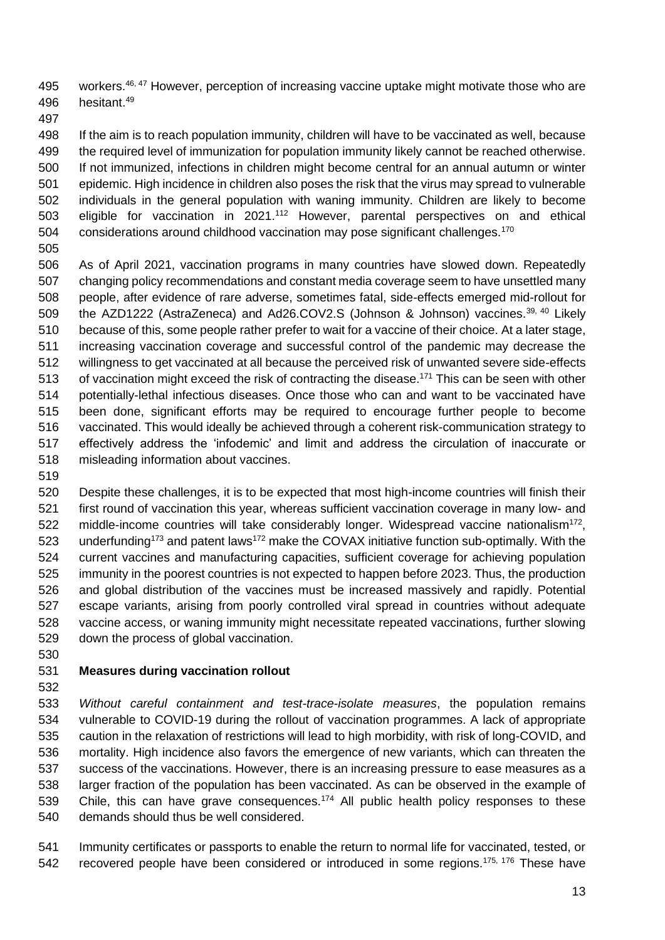495 workers.<sup>46, 47</sup> However, perception of increasing vaccine uptake might motivate those who are 496 hesitant.<sup>49</sup>

498 If the aim is to reach population immunity, children will have to be vaccinated as well, because the required level of immunization for population immunity likely cannot be reached otherwise. If not immunized, infections in children might become central for an annual autumn or winter epidemic. High incidence in children also poses the risk that the virus may spread to vulnerable individuals in the general population with waning immunity. Children are likely to become 503 eligible for vaccination in 2021.<sup>112</sup> However, parental perspectives on and ethical 504 considerations around childhood vaccination may pose significant challenges.<sup>170</sup> 

- As of April 2021, vaccination programs in many countries have slowed down. Repeatedly changing policy recommendations and constant media coverage seem to have unsettled many people, after evidence of rare adverse, sometimes fatal, side-effects emerged mid-rollout for 509 the AZD1222 (AstraZeneca) and Ad26.COV2.S (Johnson & Johnson) vaccines.<sup>39, 40</sup> Likely because of this, some people rather prefer to wait for a vaccine of their choice. At a later stage, increasing vaccination coverage and successful control of the pandemic may decrease the willingness to get vaccinated at all because the perceived risk of unwanted severe side-effects 513 of vaccination might exceed the risk of contracting the disease.<sup>171</sup> This can be seen with other potentially-lethal infectious diseases. Once those who can and want to be vaccinated have been done, significant efforts may be required to encourage further people to become vaccinated. This would ideally be achieved through a coherent risk-communication strategy to effectively address the 'infodemic' and limit and address the circulation of inaccurate or misleading information about vaccines.
- 

 Despite these challenges, it is to be expected that most high-income countries will finish their first round of vaccination this year, whereas sufficient vaccination coverage in many low- and 522 middle-income countries will take considerably longer. Widespread vaccine nationalism<sup>172</sup>, 523 underfunding<sup>173</sup> and patent laws<sup>172</sup> make the COVAX initiative function sub-optimally. With the current vaccines and manufacturing capacities, sufficient coverage for achieving population immunity in the poorest countries is not expected to happen before 2023. Thus, the production and global distribution of the vaccines must be increased massively and rapidly. Potential escape variants, arising from poorly controlled viral spread in countries without adequate vaccine access, or waning immunity might necessitate repeated vaccinations, further slowing down the process of global vaccination.

## **Measures during vaccination rollout**

 *Without careful containment and test-trace-isolate measures*, the population remains vulnerable to COVID-19 during the rollout of vaccination programmes. A lack of appropriate caution in the relaxation of restrictions will lead to high morbidity, with risk of long-COVID, and mortality. High incidence also favors the emergence of new variants, which can threaten the success of the vaccinations. However, there is an increasing pressure to ease measures as a larger fraction of the population has been vaccinated. As can be observed in the example of 539 Chile, this can have grave consequences.<sup>174</sup> All public health policy responses to these demands should thus be well considered.

 Immunity certificates or passports to enable the return to normal life for vaccinated, tested, or 542 recovered people have been considered or introduced in some regions.<sup>175, 176</sup> These have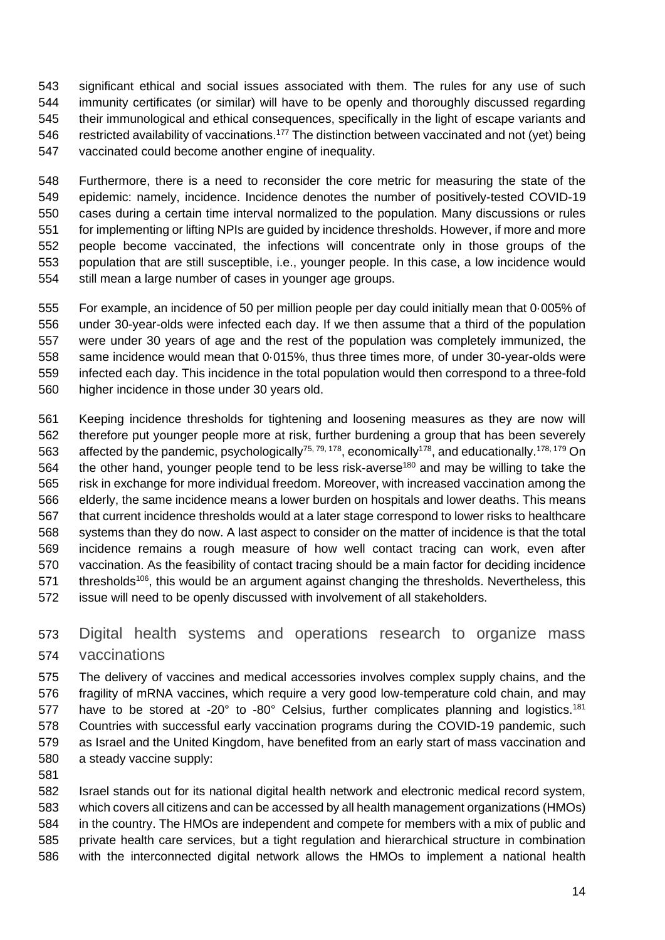significant ethical and social issues associated with them. The rules for any use of such immunity certificates (or similar) will have to be openly and thoroughly discussed regarding their immunological and ethical consequences, specifically in the light of escape variants and 546 restricted availability of vaccinations.<sup>177</sup> The distinction between vaccinated and not (yet) being vaccinated could become another engine of inequality.

 Furthermore, there is a need to reconsider the core metric for measuring the state of the epidemic: namely, incidence. Incidence denotes the number of positively-tested COVID-19 cases during a certain time interval normalized to the population. Many discussions or rules for implementing or lifting NPIs are guided by incidence thresholds. However, if more and more people become vaccinated, the infections will concentrate only in those groups of the population that are still susceptible, i.e., younger people. In this case, a low incidence would still mean a large number of cases in younger age groups.

 For example, an incidence of 50 per million people per day could initially mean that 0·005% of under 30-year-olds were infected each day. If we then assume that a third of the population were under 30 years of age and the rest of the population was completely immunized, the same incidence would mean that 0·015%, thus three times more, of under 30-year-olds were infected each day. This incidence in the total population would then correspond to a three-fold higher incidence in those under 30 years old.

 Keeping incidence thresholds for tightening and loosening measures as they are now will therefore put younger people more at risk, further burdening a group that has been severely 563 affected by the pandemic, psychologically<sup>75, 79, 178</sup>, economically<sup>178</sup>, and educationally.<sup>178, 179</sup> On 564 the other hand, younger people tend to be less risk-averse<sup>180</sup> and may be willing to take the risk in exchange for more individual freedom. Moreover, with increased vaccination among the elderly, the same incidence means a lower burden on hospitals and lower deaths. This means that current incidence thresholds would at a later stage correspond to lower risks to healthcare systems than they do now. A last aspect to consider on the matter of incidence is that the total incidence remains a rough measure of how well contact tracing can work, even after vaccination. As the feasibility of contact tracing should be a main factor for deciding incidence 571 thresholds<sup>106</sup>, this would be an argument against changing the thresholds. Nevertheless, this issue will need to be openly discussed with involvement of all stakeholders.

 Digital health systems and operations research to organize mass vaccinations

 The delivery of vaccines and medical accessories involves complex supply chains, and the fragility of mRNA vaccines, which require a very good low-temperature cold chain, and may 577 have to be stored at -20 $^{\circ}$  to -80 $^{\circ}$  Celsius, further complicates planning and logistics.<sup>181</sup> Countries with successful early vaccination programs during the COVID-19 pandemic, such as Israel and the United Kingdom, have benefited from an early start of mass vaccination and a steady vaccine supply:

 Israel stands out for its national digital health network and electronic medical record system, which covers all citizens and can be accessed by all health management organizations (HMOs) in the country. The HMOs are independent and compete for members with a mix of public and private health care services, but a tight regulation and hierarchical structure in combination with the interconnected digital network allows the HMOs to implement a national health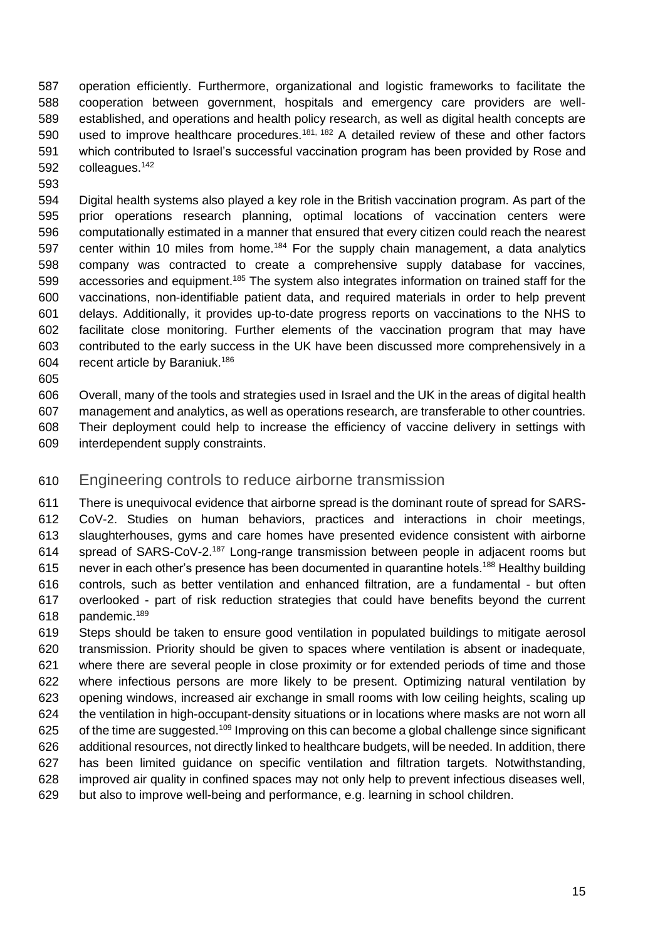operation efficiently. Furthermore, organizational and logistic frameworks to facilitate the cooperation between government, hospitals and emergency care providers are well- established, and operations and health policy research, as well as digital health concepts are 590 used to improve healthcare procedures.<sup>181, 182</sup> A detailed review of these and other factors which contributed to Israel's successful vaccination program has been provided by Rose and 592 colleagues.<sup>142</sup>

 Digital health systems also played a key role in the British vaccination program. As part of the prior operations research planning, optimal locations of vaccination centers were computationally estimated in a manner that ensured that every citizen could reach the nearest 597 center within 10 miles from home.<sup>184</sup> For the supply chain management, a data analytics company was contracted to create a comprehensive supply database for vaccines, 599 accessories and equipment.<sup>185</sup> The system also integrates information on trained staff for the vaccinations, non-identifiable patient data, and required materials in order to help prevent delays. Additionally, it provides up-to-date progress reports on vaccinations to the NHS to facilitate close monitoring. Further elements of the vaccination program that may have contributed to the early success in the UK have been discussed more comprehensively in a 604 recent article by Baraniuk.<sup>186</sup>

 Overall, many of the tools and strategies used in Israel and the UK in the areas of digital health management and analytics, as well as operations research, are transferable to other countries. Their deployment could help to increase the efficiency of vaccine delivery in settings with interdependent supply constraints.

## Engineering controls to reduce airborne transmission

 There is unequivocal evidence that airborne spread is the dominant route of spread for SARS- CoV-2. Studies on human behaviors, practices and interactions in choir meetings, slaughterhouses, gyms and care homes have presented evidence consistent with airborne 614 spread of SARS-CoV-2.<sup>187</sup> Long-range transmission between people in adjacent rooms but 615 never in each other's presence has been documented in quarantine hotels.<sup>188</sup> Healthy building controls, such as better ventilation and enhanced filtration, are a fundamental - but often overlooked - part of risk reduction strategies that could have benefits beyond the current 618 pandemic.<sup>189</sup>

 Steps should be taken to ensure good ventilation in populated buildings to mitigate aerosol transmission. Priority should be given to spaces where ventilation is absent or inadequate, where there are several people in close proximity or for extended periods of time and those where infectious persons are more likely to be present. Optimizing natural ventilation by opening windows, increased air exchange in small rooms with low ceiling heights, scaling up the ventilation in high-occupant-density situations or in locations where masks are not worn all of the time are suggested.<sup>109</sup> Improving on this can become a global challenge since significant additional resources, not directly linked to healthcare budgets, will be needed. In addition, there has been limited guidance on specific ventilation and filtration targets. Notwithstanding, improved air quality in confined spaces may not only help to prevent infectious diseases well, but also to improve well-being and performance, e.g. learning in school children.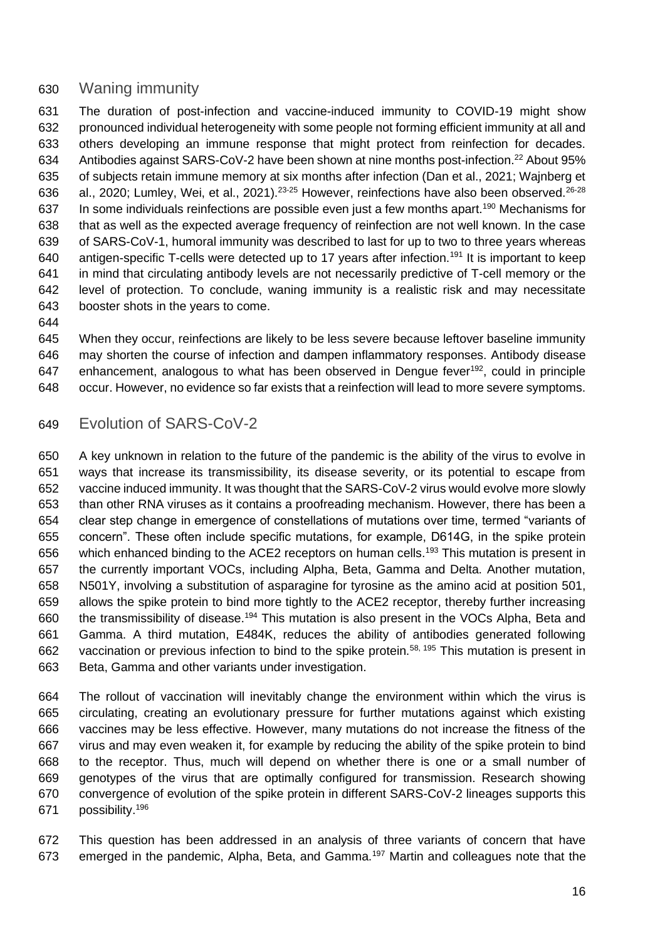## Waning immunity

 The duration of post-infection and vaccine-induced immunity to COVID-19 might show pronounced individual heterogeneity with some people not forming efficient immunity at all and others developing an immune response that might protect from reinfection for decades. 634 Antibodies against SARS-CoV-2 have been shown at nine months post-infection.<sup>22</sup> About 95% of subjects retain immune memory at six months after infection (Dan et al., 2021; Wajnberg et 636 al., 2020; Lumley, Wei, et al., 2021).<sup>23-25</sup> However, reinfections have also been observed.<sup>26-28</sup> 637 In some individuals reinfections are possible even just a few months apart.<sup>190</sup> Mechanisms for that as well as the expected average frequency of reinfection are not well known. In the case of SARS-CoV-1, humoral immunity was described to last for up to two to three years whereas 640 antigen-specific T-cells were detected up to 17 years after infection.<sup>191</sup> It is important to keep in mind that circulating antibody levels are not necessarily predictive of T-cell memory or the level of protection. To conclude, waning immunity is a realistic risk and may necessitate booster shots in the years to come.

 When they occur, reinfections are likely to be less severe because leftover baseline immunity may shorten the course of infection and dampen inflammatory responses. Antibody disease 647 enhancement, analogous to what has been observed in Dengue fever<sup>192</sup>, could in principle occur. However, no evidence so far exists that a reinfection will lead to more severe symptoms.

## Evolution of SARS-CoV-2

 A key unknown in relation to the future of the pandemic is the ability of the virus to evolve in ways that increase its transmissibility, its disease severity, or its potential to escape from vaccine induced immunity. It was thought that the SARS-CoV-2 virus would evolve more slowly than other RNA viruses as it contains a proofreading mechanism. However, there has been a clear step change in emergence of constellations of mutations over time, termed "variants of concern". These often include specific mutations, for example, D614G, in the spike protein 656 which enhanced binding to the ACE2 receptors on human cells.<sup>193</sup> This mutation is present in the currently important VOCs, including Alpha, Beta, Gamma and Delta. Another mutation, N501Y, involving a substitution of asparagine for tyrosine as the amino acid at position 501, allows the spike protein to bind more tightly to the ACE2 receptor, thereby further increasing 660 the transmissibility of disease.<sup>194</sup> This mutation is also present in the VOCs Alpha, Beta and Gamma. A third mutation, E484K, reduces the ability of antibodies generated following 662 vaccination or previous infection to bind to the spike protein.<sup>58, 195</sup> This mutation is present in Beta, Gamma and other variants under investigation.

 The rollout of vaccination will inevitably change the environment within which the virus is circulating, creating an evolutionary pressure for further mutations against which existing vaccines may be less effective. However, many mutations do not increase the fitness of the virus and may even weaken it, for example by reducing the ability of the spike protein to bind to the receptor. Thus, much will depend on whether there is one or a small number of genotypes of the virus that are optimally configured for transmission. Research showing convergence of evolution of the spike protein in different SARS-CoV-2 lineages supports this 671 possibility.<sup>196</sup>

 This question has been addressed in an analysis of three variants of concern that have 673 emerged in the pandemic, Alpha, Beta, and Gamma.<sup>197</sup> Martin and colleagues note that the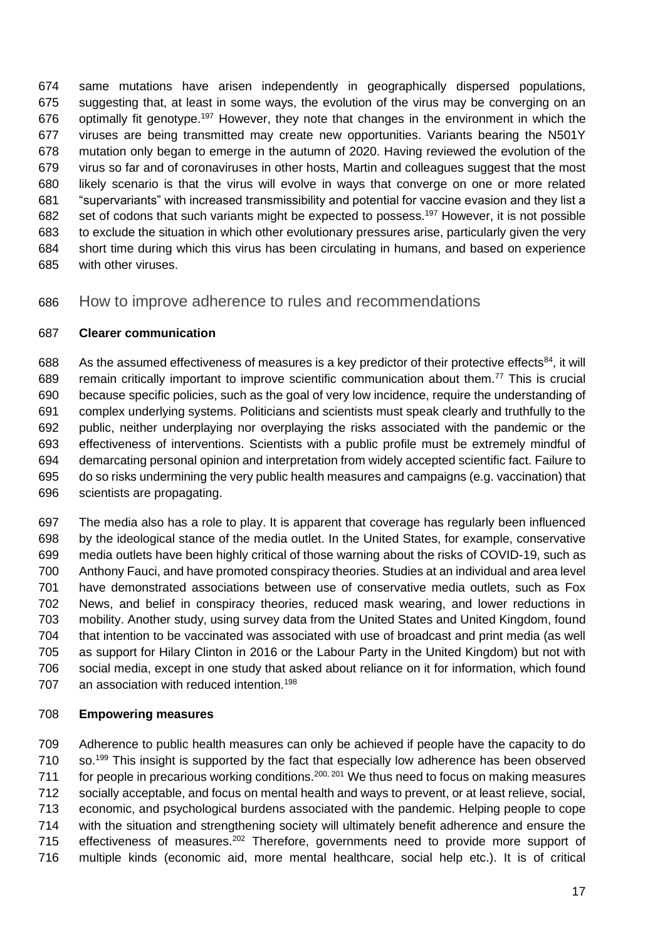same mutations have arisen independently in geographically dispersed populations, suggesting that, at least in some ways, the evolution of the virus may be converging on an 676 optimally fit genotype.<sup>197</sup> However, they note that changes in the environment in which the viruses are being transmitted may create new opportunities. Variants bearing the N501Y mutation only began to emerge in the autumn of 2020. Having reviewed the evolution of the virus so far and of coronaviruses in other hosts, Martin and colleagues suggest that the most likely scenario is that the virus will evolve in ways that converge on one or more related "supervariants" with increased transmissibility and potential for vaccine evasion and they list a 682 set of codons that such variants might be expected to possess.<sup>197</sup> However, it is not possible to exclude the situation in which other evolutionary pressures arise, particularly given the very short time during which this virus has been circulating in humans, and based on experience with other viruses.

How to improve adherence to rules and recommendations

### **Clearer communication**

688 As the assumed effectiveness of measures is a key predictor of their protective effects<sup>84</sup>, it will 689 remain critically important to improve scientific communication about them.<sup>77</sup> This is crucial because specific policies, such as the goal of very low incidence, require the understanding of complex underlying systems. Politicians and scientists must speak clearly and truthfully to the public, neither underplaying nor overplaying the risks associated with the pandemic or the effectiveness of interventions. Scientists with a public profile must be extremely mindful of demarcating personal opinion and interpretation from widely accepted scientific fact. Failure to do so risks undermining the very public health measures and campaigns (e.g. vaccination) that scientists are propagating.

 The media also has a role to play. It is apparent that coverage has regularly been influenced by the ideological stance of the media outlet. In the United States, for example, conservative media outlets have been highly critical of those warning about the risks of COVID-19, such as Anthony Fauci, and have promoted conspiracy theories. Studies at an individual and area level have demonstrated associations between use of conservative media outlets, such as Fox News, and belief in conspiracy theories, reduced mask wearing, and lower reductions in mobility. Another study, using survey data from the United States and United Kingdom, found that intention to be vaccinated was associated with use of broadcast and print media (as well as support for Hilary Clinton in 2016 or the Labour Party in the United Kingdom) but not with social media, except in one study that asked about reliance on it for information, which found 707 an association with reduced intention.<sup>198</sup>

#### **Empowering measures**

 Adherence to public health measures can only be achieved if people have the capacity to do so.<sup>199</sup> This insight is supported by the fact that especially low adherence has been observed 711 for people in precarious working conditions.  $200, 201$  We thus need to focus on making measures socially acceptable, and focus on mental health and ways to prevent, or at least relieve, social, economic, and psychological burdens associated with the pandemic. Helping people to cope with the situation and strengthening society will ultimately benefit adherence and ensure the 715 effectiveness of measures.<sup>202</sup> Therefore, governments need to provide more support of multiple kinds (economic aid, more mental healthcare, social help etc.). It is of critical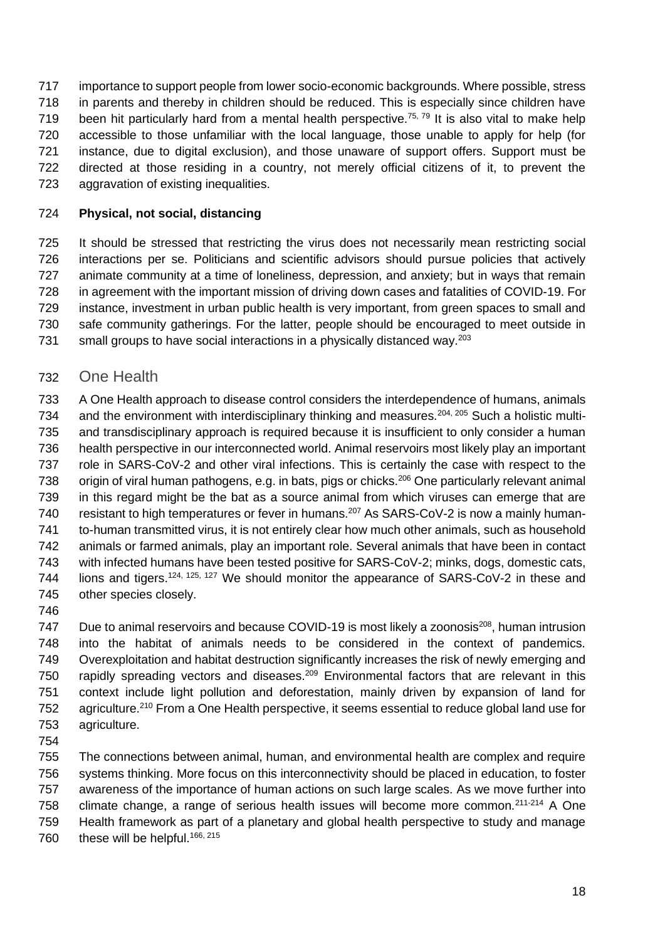importance to support people from lower socio-economic backgrounds. Where possible, stress in parents and thereby in children should be reduced. This is especially since children have 719 been hit particularly hard from a mental health perspective.<sup>75, 79</sup> It is also vital to make help accessible to those unfamiliar with the local language, those unable to apply for help (for instance, due to digital exclusion), and those unaware of support offers. Support must be directed at those residing in a country, not merely official citizens of it, to prevent the aggravation of existing inequalities.

### **Physical, not social, distancing**

 It should be stressed that restricting the virus does not necessarily mean restricting social interactions per se. Politicians and scientific advisors should pursue policies that actively animate community at a time of loneliness, depression, and anxiety; but in ways that remain in agreement with the important mission of driving down cases and fatalities of COVID-19. For instance, investment in urban public health is very important, from green spaces to small and safe community gatherings. For the latter, people should be encouraged to meet outside in 731 small groups to have social interactions in a physically distanced way.<sup>203</sup>

One Health

 A One Health approach to disease control considers the interdependence of humans, animals 734 and the environment with interdisciplinary thinking and measures.<sup>204, 205</sup> Such a holistic multi- and transdisciplinary approach is required because it is insufficient to only consider a human health perspective in our interconnected world. Animal reservoirs most likely play an important role in SARS-CoV-2 and other viral infections. This is certainly the case with respect to the 738 origin of viral human pathogens, e.g. in bats, pigs or chicks.<sup>206</sup> One particularly relevant animal in this regard might be the bat as a source animal from which viruses can emerge that are 740 resistant to high temperatures or fever in humans.<sup>207</sup> As SARS-CoV-2 is now a mainly human- to-human transmitted virus, it is not entirely clear how much other animals, such as household animals or farmed animals, play an important role. Several animals that have been in contact with infected humans have been tested positive for SARS-CoV-2; minks, dogs, domestic cats, 744 lions and tigers.<sup>124, 125, 127</sup> We should monitor the appearance of SARS-CoV-2 in these and other species closely.

747 Due to animal reservoirs and because COVID-19 is most likely a zoonosis<sup>208</sup>, human intrusion into the habitat of animals needs to be considered in the context of pandemics. Overexploitation and habitat destruction significantly increases the risk of newly emerging and 750 rapidly spreading vectors and diseases.<sup>209</sup> Environmental factors that are relevant in this context include light pollution and deforestation, mainly driven by expansion of land for 752 agriculture.<sup>210</sup> From a One Health perspective, it seems essential to reduce global land use for agriculture.

 The connections between animal, human, and environmental health are complex and require systems thinking. More focus on this interconnectivity should be placed in education, to foster awareness of the importance of human actions on such large scales. As we move further into 758 climate change, a range of serious health issues will become more common. $211-214}$  A One Health framework as part of a planetary and global health perspective to study and manage 760 these will be helpful.<sup>166, 215</sup>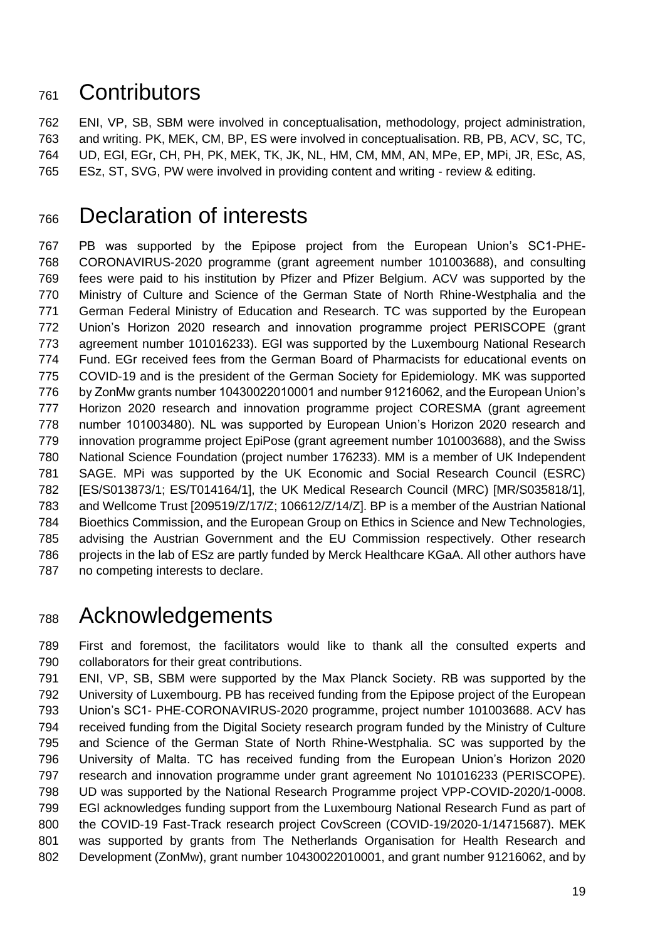# Contributors

 ENI, VP, SB, SBM were involved in conceptualisation, methodology, project administration, and writing. PK, MEK, CM, BP, ES were involved in conceptualisation. RB, PB, ACV, SC, TC, UD, EGl, EGr, CH, PH, PK, MEK, TK, JK, NL, HM, CM, MM, AN, MPe, EP, MPi, JR, ESc, AS, ESz, ST, SVG, PW were involved in providing content and writing - review & editing.

# Declaration of interests

 PB was supported by the Epipose project from the European Union's SC1-PHE- CORONAVIRUS-2020 programme (grant agreement number 101003688), and consulting fees were paid to his institution by Pfizer and Pfizer Belgium. ACV was supported by the Ministry of Culture and Science of the German State of North Rhine-Westphalia and the German Federal Ministry of Education and Research. TC was supported by the European Union's Horizon 2020 research and innovation programme project PERISCOPE (grant agreement number 101016233). EGl was supported by the Luxembourg National Research Fund. EGr received fees from the German Board of Pharmacists for educational events on COVID-19 and is the president of the German Society for Epidemiology. MK was supported by ZonMw grants number 10430022010001 and number 91216062, and the European Union's Horizon 2020 research and innovation programme project CORESMA (grant agreement number 101003480). NL was supported by European Union's Horizon 2020 research and innovation programme project EpiPose (grant agreement number 101003688), and the Swiss National Science Foundation (project number 176233). MM is a member of UK Independent SAGE. MPi was supported by the UK Economic and Social Research Council (ESRC) [ES/S013873/1; ES/T014164/1], the UK Medical Research Council (MRC) [MR/S035818/1], and Wellcome Trust [209519/Z/17/Z; 106612/Z/14/Z]. BP is a member of the Austrian National Bioethics Commission, and the European Group on Ethics in Science and New Technologies, advising the Austrian Government and the EU Commission respectively. Other research projects in the lab of ESz are partly funded by Merck Healthcare KGaA. All other authors have no competing interests to declare.

# Acknowledgements

 First and foremost, the facilitators would like to thank all the consulted experts and collaborators for their great contributions.

 ENI, VP, SB, SBM were supported by the Max Planck Society. RB was supported by the University of Luxembourg. PB has received funding from the Epipose project of the European Union's SC1- PHE-CORONAVIRUS-2020 programme, project number 101003688. ACV has received funding from the Digital Society research program funded by the Ministry of Culture and Science of the German State of North Rhine-Westphalia. SC was supported by the University of Malta. TC has received funding from the European Union's Horizon 2020 research and innovation programme under grant agreement No 101016233 (PERISCOPE). UD was supported by the National Research Programme project VPP-COVID-2020/1-0008. EGl acknowledges funding support from the Luxembourg National Research Fund as part of the COVID-19 Fast-Track research project CovScreen (COVID-19/2020-1/14715687). MEK was supported by grants from The Netherlands Organisation for Health Research and Development (ZonMw), grant number 10430022010001, and grant number 91216062, and by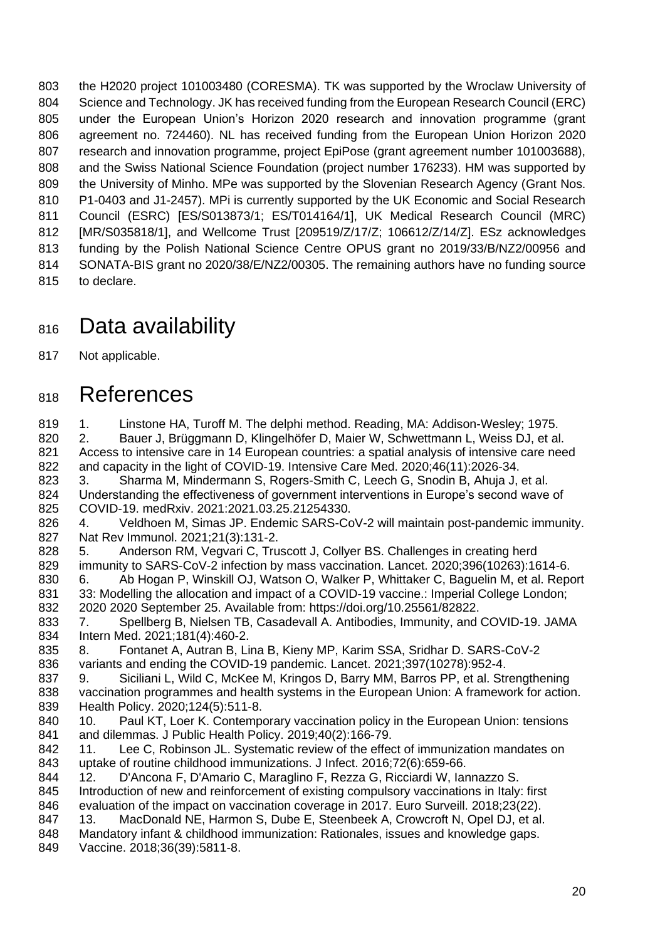the H2020 project 101003480 (CORESMA). TK was supported by the Wroclaw University of Science and Technology. JK has received funding from the European Research Council (ERC) under the European Union's Horizon 2020 research and innovation programme (grant agreement no. 724460). NL has received funding from the European Union Horizon 2020 research and innovation programme, project EpiPose (grant agreement number 101003688), and the Swiss National Science Foundation (project number 176233). HM was supported by the University of Minho. MPe was supported by the Slovenian Research Agency (Grant Nos. P1-0403 and J1-2457). MPi is currently supported by the UK Economic and Social Research Council (ESRC) [ES/S013873/1; ES/T014164/1], UK Medical Research Council (MRC) [MR/S035818/1], and Wellcome Trust [209519/Z/17/Z; 106612/Z/14/Z]. ESz acknowledges funding by the Polish National Science Centre OPUS grant no 2019/33/B/NZ2/00956 and SONATA-BIS grant no 2020/38/E/NZ2/00305. The remaining authors have no funding source to declare.

# 816 Data availability

Not applicable.

# 818 References

819 1. Linstone HA, Turoff M. The delphi method. Reading, MA: Addison-Wesley; 1975. 2. Bauer J, Brüggmann D, Klingelhöfer D, Maier W, Schwettmann L, Weiss DJ, et al. Access to intensive care in 14 European countries: a spatial analysis of intensive care need and capacity in the light of COVID-19. Intensive Care Med. 2020;46(11):2026-34. 3. Sharma M, Mindermann S, Rogers-Smith C, Leech G, Snodin B, Ahuja J, et al. Understanding the effectiveness of government interventions in Europe's second wave of COVID-19. medRxiv. 2021:2021.03.25.21254330. 4. Veldhoen M, Simas JP. Endemic SARS-CoV-2 will maintain post-pandemic immunity. Nat Rev Immunol. 2021;21(3):131-2. 5. Anderson RM, Vegvari C, Truscott J, Collyer BS. Challenges in creating herd immunity to SARS-CoV-2 infection by mass vaccination. Lancet. 2020;396(10263):1614-6. 6. Ab Hogan P, Winskill OJ, Watson O, Walker P, Whittaker C, Baguelin M, et al. Report 33: Modelling the allocation and impact of a COVID-19 vaccine.: Imperial College London; 2020 2020 September 25. Available from: https://doi.org/10.25561/82822. 7. Spellberg B, Nielsen TB, Casadevall A. Antibodies, Immunity, and COVID-19. JAMA Intern Med. 2021;181(4):460-2. 8. Fontanet A, Autran B, Lina B, Kieny MP, Karim SSA, Sridhar D. SARS-CoV-2 variants and ending the COVID-19 pandemic. Lancet. 2021;397(10278):952-4. 9. Siciliani L, Wild C, McKee M, Kringos D, Barry MM, Barros PP, et al. Strengthening vaccination programmes and health systems in the European Union: A framework for action. Health Policy. 2020;124(5):511-8. 10. Paul KT, Loer K. Contemporary vaccination policy in the European Union: tensions and dilemmas. J Public Health Policy. 2019;40(2):166-79. 11. Lee C, Robinson JL. Systematic review of the effect of immunization mandates on uptake of routine childhood immunizations. J Infect. 2016;72(6):659-66. 12. D'Ancona F, D'Amario C, Maraglino F, Rezza G, Ricciardi W, Iannazzo S. 845 Introduction of new and reinforcement of existing compulsory vaccinations in Italy: first evaluation of the impact on vaccination coverage in 2017. Euro Surveill. 2018;23(22). 847 13. MacDonald NE, Harmon S, Dube E, Steenbeek A, Crowcroft N, Opel DJ, et al. Mandatory infant & childhood immunization: Rationales, issues and knowledge gaps. Vaccine. 2018;36(39):5811-8.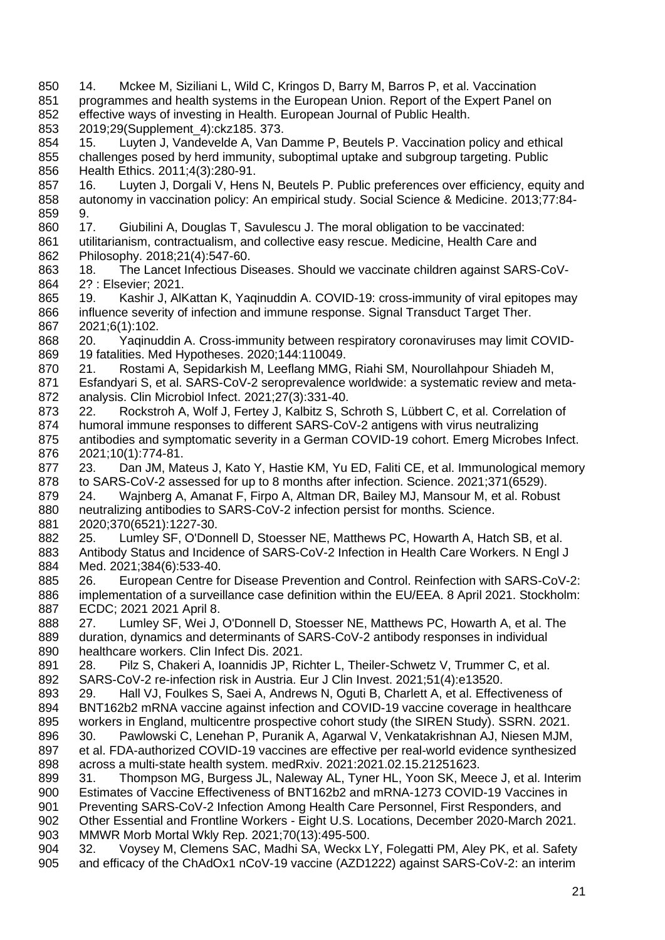14. Mckee M, Siziliani L, Wild C, Kringos D, Barry M, Barros P, et al. Vaccination programmes and health systems in the European Union. Report of the Expert Panel on effective ways of investing in Health. European Journal of Public Health. 2019;29(Supplement\_4):ckz185. 373. 15. Luyten J, Vandevelde A, Van Damme P, Beutels P. Vaccination policy and ethical challenges posed by herd immunity, suboptimal uptake and subgroup targeting. Public Health Ethics. 2011;4(3):280-91. 857 16. Luyten J, Dorgali V, Hens N, Beutels P. Public preferences over efficiency, equity and autonomy in vaccination policy: An empirical study. Social Science & Medicine. 2013;77:84- 9. 17. Giubilini A, Douglas T, Savulescu J. The moral obligation to be vaccinated: utilitarianism, contractualism, and collective easy rescue. Medicine, Health Care and Philosophy. 2018;21(4):547-60. 18. The Lancet Infectious Diseases. Should we vaccinate children against SARS-CoV- 2? : Elsevier; 2021. 865 19. Kashir J, AlKattan K, Yaqinuddin A. COVID-19: cross-immunity of viral epitopes may<br>866 influence severity of infection and immune response. Signal Transduct Target Ther. influence severity of infection and immune response. Signal Transduct Target Ther. 2021;6(1):102. 20. Yaqinuddin A. Cross-immunity between respiratory coronaviruses may limit COVID- 19 fatalities. Med Hypotheses. 2020;144:110049. 21. Rostami A, Sepidarkish M, Leeflang MMG, Riahi SM, Nourollahpour Shiadeh M, Esfandyari S, et al. SARS-CoV-2 seroprevalence worldwide: a systematic review and meta- analysis. Clin Microbiol Infect. 2021;27(3):331-40. 873 22. Rockstroh A, Wolf J, Fertey J, Kalbitz S, Schroth S, Lübbert C, et al. Correlation of humoral immune responses to different SARS-CoV-2 antigens with virus neutralizing antibodies and symptomatic severity in a German COVID-19 cohort. Emerg Microbes Infect. 2021;10(1):774-81. 23. Dan JM, Mateus J, Kato Y, Hastie KM, Yu ED, Faliti CE, et al. Immunological memory to SARS-CoV-2 assessed for up to 8 months after infection. Science. 2021;371(6529). 24. Wajnberg A, Amanat F, Firpo A, Altman DR, Bailey MJ, Mansour M, et al. Robust neutralizing antibodies to SARS-CoV-2 infection persist for months. Science. 2020;370(6521):1227-30. 25. Lumley SF, O'Donnell D, Stoesser NE, Matthews PC, Howarth A, Hatch SB, et al. 883 Antibody Status and Incidence of SARS-CoV-2 Infection in Health Care Workers. N Engl J Med. 2021;384(6):533-40. 26. European Centre for Disease Prevention and Control. Reinfection with SARS-CoV-2: implementation of a surveillance case definition within the EU/EEA. 8 April 2021. Stockholm: ECDC; 2021 2021 April 8. 27. Lumley SF, Wei J, O'Donnell D, Stoesser NE, Matthews PC, Howarth A, et al. The duration, dynamics and determinants of SARS-CoV-2 antibody responses in individual healthcare workers. Clin Infect Dis. 2021. 28. Pilz S, Chakeri A, Ioannidis JP, Richter L, Theiler-Schwetz V, Trummer C, et al. SARS-CoV-2 re-infection risk in Austria. Eur J Clin Invest. 2021;51(4):e13520. 29. Hall VJ, Foulkes S, Saei A, Andrews N, Oguti B, Charlett A, et al. Effectiveness of BNT162b2 mRNA vaccine against infection and COVID-19 vaccine coverage in healthcare workers in England, multicentre prospective cohort study (the SIREN Study). SSRN. 2021. 30. Pawlowski C, Lenehan P, Puranik A, Agarwal V, Venkatakrishnan AJ, Niesen MJM, et al. FDA-authorized COVID-19 vaccines are effective per real-world evidence synthesized across a multi-state health system. medRxiv. 2021:2021.02.15.21251623. 31. Thompson MG, Burgess JL, Naleway AL, Tyner HL, Yoon SK, Meece J, et al. Interim Estimates of Vaccine Effectiveness of BNT162b2 and mRNA-1273 COVID-19 Vaccines in Preventing SARS-CoV-2 Infection Among Health Care Personnel, First Responders, and Other Essential and Frontline Workers - Eight U.S. Locations, December 2020-March 2021. MMWR Morb Mortal Wkly Rep. 2021;70(13):495-500. 32. Voysey M, Clemens SAC, Madhi SA, Weckx LY, Folegatti PM, Aley PK, et al. Safety 905 and efficacy of the ChAdOx1 nCoV-19 vaccine (AZD1222) against SARS-CoV-2: an interim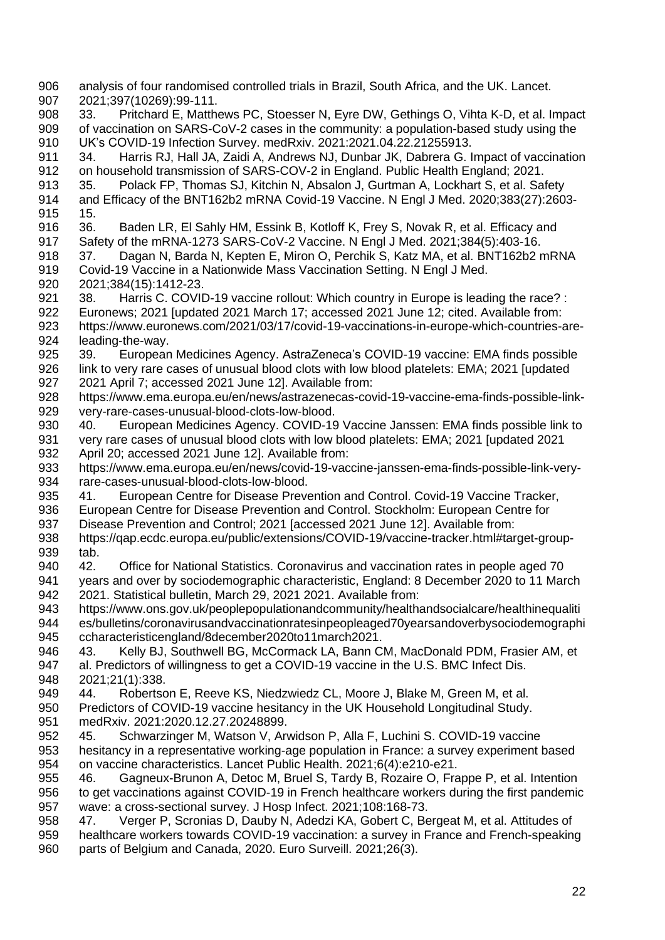analysis of four randomised controlled trials in Brazil, South Africa, and the UK. Lancet. 2021;397(10269):99-111. 33. Pritchard E, Matthews PC, Stoesser N, Eyre DW, Gethings O, Vihta K-D, et al. Impact of vaccination on SARS-CoV-2 cases in the community: a population-based study using the UK's COVID-19 Infection Survey. medRxiv. 2021:2021.04.22.21255913. 34. Harris RJ, Hall JA, Zaidi A, Andrews NJ, Dunbar JK, Dabrera G. Impact of vaccination on household transmission of SARS-COV-2 in England. Public Health England; 2021. 35. Polack FP, Thomas SJ, Kitchin N, Absalon J, Gurtman A, Lockhart S, et al. Safety and Efficacy of the BNT162b2 mRNA Covid-19 Vaccine. N Engl J Med. 2020;383(27):2603- 15. 36. Baden LR, El Sahly HM, Essink B, Kotloff K, Frey S, Novak R, et al. Efficacy and Safety of the mRNA-1273 SARS-CoV-2 Vaccine. N Engl J Med. 2021;384(5):403-16. 37. Dagan N, Barda N, Kepten E, Miron O, Perchik S, Katz MA, et al. BNT162b2 mRNA Covid-19 Vaccine in a Nationwide Mass Vaccination Setting. N Engl J Med. 2021;384(15):1412-23. 921 38. Harris C. COVID-19 vaccine rollout: Which country in Europe is leading the race? :<br>922 Euronews: 2021 [updated 2021 March 17: accessed 2021 June 12: cited. Available from: Euronews: 2021 [updated 2021 March 17; accessed 2021 June 12; cited. Available from: https://www.euronews.com/2021/03/17/covid-19-vaccinations-in-europe-which-countries-are- leading-the-way. 39. European Medicines Agency. AstraZeneca's COVID-19 vaccine: EMA finds possible link to very rare cases of unusual blood clots with low blood platelets: EMA; 2021 [updated 2021 April 7; accessed 2021 June 12]. Available from: https://www.ema.europa.eu/en/news/astrazenecas-covid-19-vaccine-ema-finds-possible-link-929 very-rare-cases-unusual-blood-clots-low-blood.<br>930 40. European Medicines Agency. COVID-19 40. European Medicines Agency. COVID-19 Vaccine Janssen: EMA finds possible link to very rare cases of unusual blood clots with low blood platelets: EMA; 2021 [updated 2021 April 20; accessed 2021 June 12]. Available from: https://www.ema.europa.eu/en/news/covid-19-vaccine-janssen-ema-finds-possible-link-very- rare-cases-unusual-blood-clots-low-blood. 41. European Centre for Disease Prevention and Control. Covid-19 Vaccine Tracker, European Centre for Disease Prevention and Control. Stockholm: European Centre for Disease Prevention and Control; 2021 [accessed 2021 June 12]. Available from: https://qap.ecdc.europa.eu/public/extensions/COVID-19/vaccine-tracker.html#target-group- tab. 42. Office for National Statistics. Coronavirus and vaccination rates in people aged 70 years and over by sociodemographic characteristic, England: 8 December 2020 to 11 March 2021. Statistical bulletin, March 29, 2021 2021. Available from: https://www.ons.gov.uk/peoplepopulationandcommunity/healthandsocialcare/healthinequaliti es/bulletins/coronavirusandvaccinationratesinpeopleaged70yearsandoverbysociodemographi ccharacteristicengland/8december2020to11march2021. 43. Kelly BJ, Southwell BG, McCormack LA, Bann CM, MacDonald PDM, Frasier AM, et al. Predictors of willingness to get a COVID-19 vaccine in the U.S. BMC Infect Dis. 2021;21(1):338. 44. Robertson E, Reeve KS, Niedzwiedz CL, Moore J, Blake M, Green M, et al. Predictors of COVID-19 vaccine hesitancy in the UK Household Longitudinal Study. medRxiv. 2021:2020.12.27.20248899. 45. Schwarzinger M, Watson V, Arwidson P, Alla F, Luchini S. COVID-19 vaccine hesitancy in a representative working-age population in France: a survey experiment based on vaccine characteristics. Lancet Public Health. 2021;6(4):e210-e21. 46. Gagneux-Brunon A, Detoc M, Bruel S, Tardy B, Rozaire O, Frappe P, et al. Intention to get vaccinations against COVID-19 in French healthcare workers during the first pandemic wave: a cross-sectional survey. J Hosp Infect. 2021;108:168-73. 47. Verger P, Scronias D, Dauby N, Adedzi KA, Gobert C, Bergeat M, et al. Attitudes of healthcare workers towards COVID-19 vaccination: a survey in France and French-speaking parts of Belgium and Canada, 2020. Euro Surveill. 2021;26(3).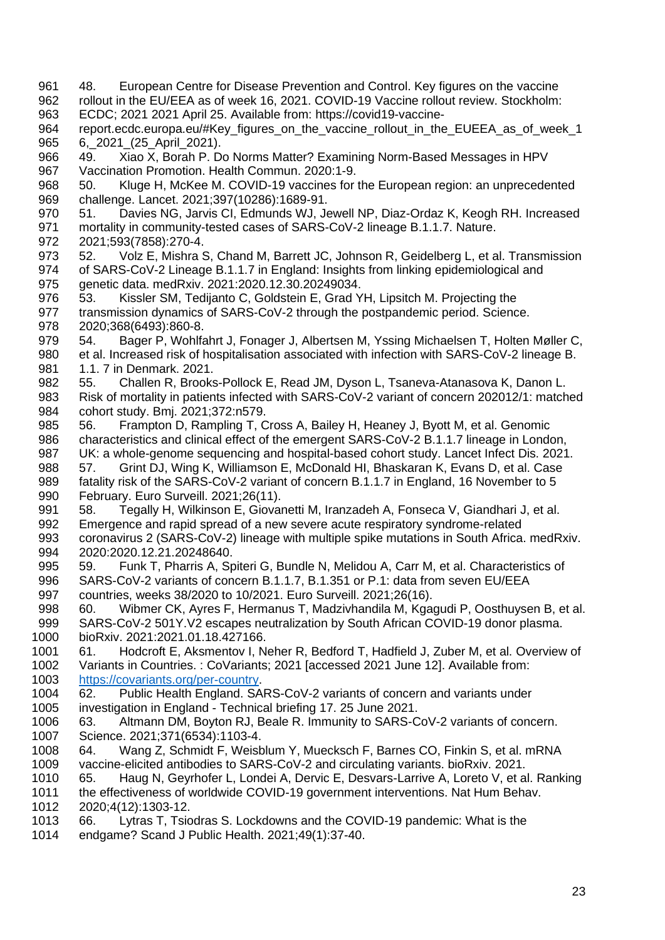- 48. European Centre for Disease Prevention and Control. Key figures on the vaccine rollout in the EU/EEA as of week 16, 2021. COVID-19 Vaccine rollout review. Stockholm:
- ECDC; 2021 2021 April 25. Available from: https://covid19-vaccine-
- 964 report.ecdc.europa.eu/#Key\_figures\_on\_the\_vaccine\_rollout\_in\_the\_EUEEA\_as\_of\_week\_1 965 6, 2021 (25 April 2021).
- 49. Xiao X, Borah P. Do Norms Matter? Examining Norm-Based Messages in HPV Vaccination Promotion. Health Commun. 2020:1-9.
- 50. Kluge H, McKee M. COVID-19 vaccines for the European region: an unprecedented challenge. Lancet. 2021;397(10286):1689-91.
- 51. Davies NG, Jarvis CI, Edmunds WJ, Jewell NP, Diaz-Ordaz K, Keogh RH. Increased mortality in community-tested cases of SARS-CoV-2 lineage B.1.1.7. Nature.
- 2021;593(7858):270-4.
- 52. Volz E, Mishra S, Chand M, Barrett JC, Johnson R, Geidelberg L, et al. Transmission of SARS-CoV-2 Lineage B.1.1.7 in England: Insights from linking epidemiological and genetic data. medRxiv. 2021:2020.12.30.20249034.
- 976 53. Kissler SM, Tedijanto C, Goldstein E, Grad YH, Lipsitch M. Projecting the<br>977 transmission dynamics of SARS-CoV-2 through the postpandemic period. Scienc transmission dynamics of SARS-CoV-2 through the postpandemic period. Science. 2020;368(6493):860-8.
- 54. Bager P, Wohlfahrt J, Fonager J, Albertsen M, Yssing Michaelsen T, Holten Møller C, et al. Increased risk of hospitalisation associated with infection with SARS-CoV-2 lineage B. 1.1. 7 in Denmark. 2021.
- 55. Challen R, Brooks-Pollock E, Read JM, Dyson L, Tsaneva-Atanasova K, Danon L. Risk of mortality in patients infected with SARS-CoV-2 variant of concern 202012/1: matched
- 984 cohort study. Bmj. 2021;372:n579.<br>985 56. Frampton D. Rampling T. C 56. Frampton D, Rampling T, Cross A, Bailey H, Heaney J, Byott M, et al. Genomic 986 characteristics and clinical effect of the emergent SARS-CoV-2 B.1.1.7 lineage in London,
- UK: a whole-genome sequencing and hospital-based cohort study. Lancet Infect Dis. 2021. 57. Grint DJ, Wing K, Williamson E, McDonald HI, Bhaskaran K, Evans D, et al. Case
- fatality risk of the SARS-CoV-2 variant of concern B.1.1.7 in England, 16 November to 5 February. Euro Surveill. 2021;26(11).
- 58. Tegally H, Wilkinson E, Giovanetti M, Iranzadeh A, Fonseca V, Giandhari J, et al. Emergence and rapid spread of a new severe acute respiratory syndrome-related coronavirus 2 (SARS-CoV-2) lineage with multiple spike mutations in South Africa. medRxiv. 2020:2020.12.21.20248640.
- 59. Funk T, Pharris A, Spiteri G, Bundle N, Melidou A, Carr M, et al. Characteristics of SARS-CoV-2 variants of concern B.1.1.7, B.1.351 or P.1: data from seven EU/EEA countries, weeks 38/2020 to 10/2021. Euro Surveill. 2021;26(16).
- 60. Wibmer CK, Ayres F, Hermanus T, Madzivhandila M, Kgagudi P, Oosthuysen B, et al. SARS-CoV-2 501Y.V2 escapes neutralization by South African COVID-19 donor plasma. bioRxiv. 2021:2021.01.18.427166.
- 61. Hodcroft E, Aksmentov I, Neher R, Bedford T, Hadfield J, Zuber M, et al. Overview of Variants in Countries. : CoVariants; 2021 [accessed 2021 June 12]. Available from: [https://covariants.org/per-country.](https://covariants.org/per-country)
- 62. Public Health England. SARS-CoV-2 variants of concern and variants under investigation in England - Technical briefing 17. 25 June 2021.
- 63. Altmann DM, Boyton RJ, Beale R. Immunity to SARS-CoV-2 variants of concern. Science. 2021;371(6534):1103-4.
- 64. Wang Z, Schmidt F, Weisblum Y, Muecksch F, Barnes CO, Finkin S, et al. mRNA vaccine-elicited antibodies to SARS-CoV-2 and circulating variants. bioRxiv. 2021.
- 65. Haug N, Geyrhofer L, Londei A, Dervic E, Desvars-Larrive A, Loreto V, et al. Ranking
- the effectiveness of worldwide COVID-19 government interventions. Nat Hum Behav. 2020;4(12):1303-12.
- 66. Lytras T, Tsiodras S. Lockdowns and the COVID-19 pandemic: What is the
- endgame? Scand J Public Health. 2021;49(1):37-40.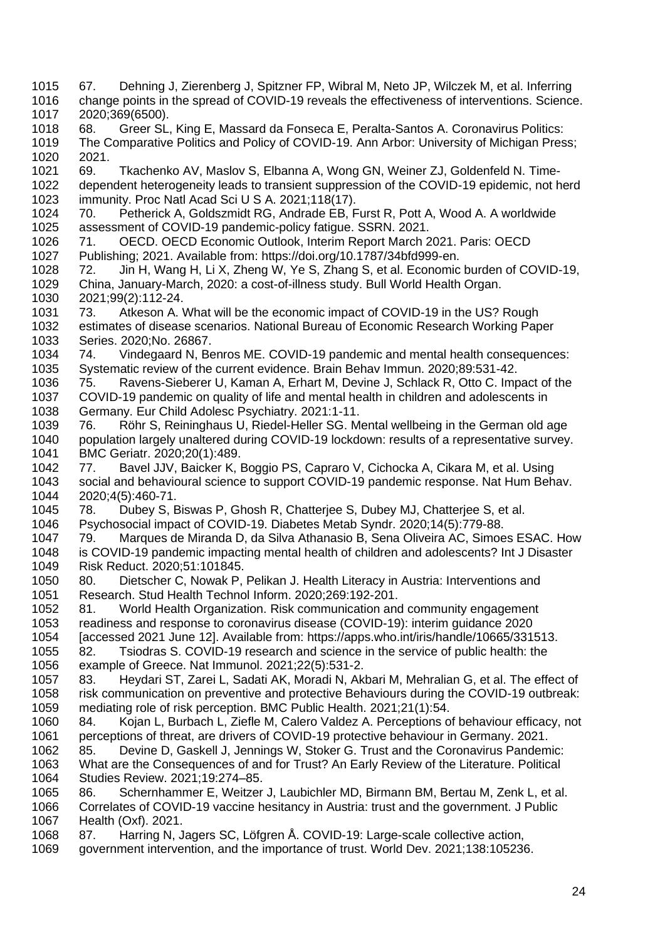2020;369(6500). 68. Greer SL, King E, Massard da Fonseca E, Peralta-Santos A. Coronavirus Politics: The Comparative Politics and Policy of COVID-19. Ann Arbor: University of Michigan Press; 2021. 69. Tkachenko AV, Maslov S, Elbanna A, Wong GN, Weiner ZJ, Goldenfeld N. Time- dependent heterogeneity leads to transient suppression of the COVID-19 epidemic, not herd immunity. Proc Natl Acad Sci U S A. 2021;118(17). 70. Petherick A, Goldszmidt RG, Andrade EB, Furst R, Pott A, Wood A. A worldwide assessment of COVID-19 pandemic-policy fatigue. SSRN. 2021. 71. OECD. OECD Economic Outlook, Interim Report March 2021. Paris: OECD Publishing; 2021. Available from: https://doi.org/10.1787/34bfd999-en. 72. Jin H, Wang H, Li X, Zheng W, Ye S, Zhang S, et al. Economic burden of COVID-19, China, January-March, 2020: a cost-of-illness study. Bull World Health Organ. 2021;99(2):112-24. 73. Atkeson A. What will be the economic impact of COVID-19 in the US? Rough estimates of disease scenarios. National Bureau of Economic Research Working Paper Series. 2020;No. 26867. 74. Vindegaard N, Benros ME. COVID-19 pandemic and mental health consequences: Systematic review of the current evidence. Brain Behav Immun. 2020;89:531-42. 1036 75. Ravens-Sieberer U, Kaman A, Erhart M, Devine J, Schlack R, Otto C. Impact of the 1037 COVID-19 pandemic on quality of life and mental health in children and adolescents in COVID-19 pandemic on quality of life and mental health in children and adolescents in 1038 Germany. Eur Child Adolesc Psychiatry. 2021:1-11.<br>1039 76. Röhr S. Reininghaus U. Riedel-Heller SG. M. 76. Röhr S, Reininghaus U, Riedel-Heller SG. Mental wellbeing in the German old age 1040 population largely unaltered during COVID-19 lockdown: results of a representative survey.<br>1041 BMC Geriatr. 2020:20(1):489. BMC Geriatr. 2020;20(1):489. 77. Bavel JJV, Baicker K, Boggio PS, Capraro V, Cichocka A, Cikara M, et al. Using social and behavioural science to support COVID-19 pandemic response. Nat Hum Behav. 2020;4(5):460-71. 78. Dubey S, Biswas P, Ghosh R, Chatterjee S, Dubey MJ, Chatterjee S, et al. Psychosocial impact of COVID-19. Diabetes Metab Syndr. 2020;14(5):779-88. 79. Marques de Miranda D, da Silva Athanasio B, Sena Oliveira AC, Simoes ESAC. How is COVID-19 pandemic impacting mental health of children and adolescents? Int J Disaster Risk Reduct. 2020;51:101845. 80. Dietscher C, Nowak P, Pelikan J. Health Literacy in Austria: Interventions and Research. Stud Health Technol Inform. 2020;269:192-201. 81. World Health Organization. Risk communication and community engagement readiness and response to coronavirus disease (COVID-19): interim guidance 2020 [accessed 2021 June 12]. Available from: https://apps.who.int/iris/handle/10665/331513. 82. Tsiodras S. COVID-19 research and science in the service of public health: the example of Greece. Nat Immunol. 2021;22(5):531-2. 83. Heydari ST, Zarei L, Sadati AK, Moradi N, Akbari M, Mehralian G, et al. The effect of risk communication on preventive and protective Behaviours during the COVID-19 outbreak: mediating role of risk perception. BMC Public Health. 2021;21(1):54. 84. Kojan L, Burbach L, Ziefle M, Calero Valdez A. Perceptions of behaviour efficacy, not perceptions of threat, are drivers of COVID-19 protective behaviour in Germany. 2021. 85. Devine D, Gaskell J, Jennings W, Stoker G. Trust and the Coronavirus Pandemic: What are the Consequences of and for Trust? An Early Review of the Literature. Political Studies Review. 2021;19:274–85. 86. Schernhammer E, Weitzer J, Laubichler MD, Birmann BM, Bertau M, Zenk L, et al. Correlates of COVID-19 vaccine hesitancy in Austria: trust and the government. J Public Health (Oxf). 2021. 87. Harring N, Jagers SC, Löfgren Å. COVID-19: Large-scale collective action, government intervention, and the importance of trust. World Dev. 2021;138:105236.

 67. Dehning J, Zierenberg J, Spitzner FP, Wibral M, Neto JP, Wilczek M, et al. Inferring change points in the spread of COVID-19 reveals the effectiveness of interventions. Science.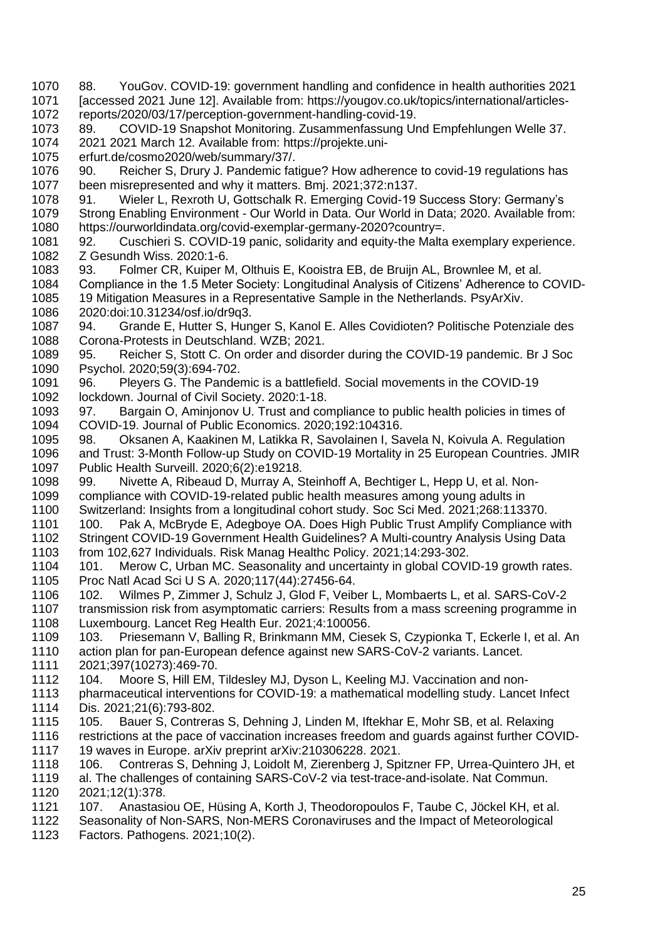88. YouGov. COVID-19: government handling and confidence in health authorities 2021 [accessed 2021 June 12]. Available from: https://yougov.co.uk/topics/international/articles- reports/2020/03/17/perception-government-handling-covid-19. 89. COVID-19 Snapshot Monitoring. Zusammenfassung Und Empfehlungen Welle 37. 2021 2021 March 12. Available from: https://projekte.uni- erfurt.de/cosmo2020/web/summary/37/. 90. Reicher S, Drury J. Pandemic fatigue? How adherence to covid-19 regulations has been misrepresented and why it matters. Bmj. 2021;372:n137. 91. Wieler L, Rexroth U, Gottschalk R. Emerging Covid-19 Success Story: Germany's Strong Enabling Environment - Our World in Data. Our World in Data; 2020. Available from: https://ourworldindata.org/covid-exemplar-germany-2020?country=. 92. Cuschieri S. COVID-19 panic, solidarity and equity-the Malta exemplary experience. Z Gesundh Wiss. 2020:1-6. 93. Folmer CR, Kuiper M, Olthuis E, Kooistra EB, de Bruijn AL, Brownlee M, et al. Compliance in the 1.5 Meter Society: Longitudinal Analysis of Citizens' Adherence to COVID-1085 19 Mitigation Measures in a Representative Sample in the Netherlands. PsyArXiv.<br>1086 2020:doi:10.31234/osf.io/dr9q3. 2020:doi:10.31234/osf.io/dr9q3. 94. Grande E, Hutter S, Hunger S, Kanol E. Alles Covidioten? Politische Potenziale des Corona-Protests in Deutschland. WZB; 2021. 95. Reicher S, Stott C. On order and disorder during the COVID-19 pandemic. Br J Soc Psychol. 2020;59(3):694-702. 1091 96. Pleyers G. The Pandemic is a battlefield. Social movements in the COVID-19<br>1092 lockdown. Journal of Civil Society. 2020:1-18. lockdown. Journal of Civil Society. 2020:1-18. 1093 97. Bargain O, Aminjonov U. Trust and compliance to public health policies in times of 1094 COVID-19. Journal of Public Economics. 2020:192:104316. COVID-19. Journal of Public Economics. 2020;192:104316. 98. Oksanen A, Kaakinen M, Latikka R, Savolainen I, Savela N, Koivula A. Regulation and Trust: 3-Month Follow-up Study on COVID-19 Mortality in 25 European Countries. JMIR Public Health Surveill. 2020;6(2):e19218. 99. Nivette A, Ribeaud D, Murray A, Steinhoff A, Bechtiger L, Hepp U, et al. Non- compliance with COVID-19-related public health measures among young adults in Switzerland: Insights from a longitudinal cohort study. Soc Sci Med. 2021;268:113370. 1101 100. Pak A, McBryde E, Adegboye OA. Does High Public Trust Amplify Compliance with Stringent COVID-19 Government Health Guidelines? A Multi-country Analysis Using Data from 102,627 Individuals. Risk Manag Healthc Policy. 2021;14:293-302. 101. Merow C, Urban MC. Seasonality and uncertainty in global COVID-19 growth rates. Proc Natl Acad Sci U S A. 2020;117(44):27456-64. 102. Wilmes P, Zimmer J, Schulz J, Glod F, Veiber L, Mombaerts L, et al. SARS-CoV-2 1107 transmission risk from asymptomatic carriers: Results from a mass screening programme in Luxembourg. Lancet Reg Health Eur. 2021;4:100056. 103. Priesemann V, Balling R, Brinkmann MM, Ciesek S, Czypionka T, Eckerle I, et al. An 1110 action plan for pan-European defence against new SARS-CoV-2 variants. Lancet.<br>1111 2021;397(10273):469-70. 2021;397(10273):469-70. 104. Moore S, Hill EM, Tildesley MJ, Dyson L, Keeling MJ. Vaccination and non- pharmaceutical interventions for COVID-19: a mathematical modelling study. Lancet Infect Dis. 2021;21(6):793-802. 105. Bauer S, Contreras S, Dehning J, Linden M, Iftekhar E, Mohr SB, et al. Relaxing restrictions at the pace of vaccination increases freedom and guards against further COVID-1117 19 waves in Europe. arXiv preprint arXiv:210306228. 2021.<br>1118 106. Contreras S. Dehning J. Loidolt M. Zierenberg J. Spi 106. Contreras S, Dehning J, Loidolt M, Zierenberg J, Spitzner FP, Urrea-Quintero JH, et al. The challenges of containing SARS-CoV-2 via test-trace-and-isolate. Nat Commun. 2021;12(1):378. 107. Anastasiou OE, Hüsing A, Korth J, Theodoropoulos F, Taube C, Jöckel KH, et al.

- Seasonality of Non-SARS, Non-MERS Coronaviruses and the Impact of Meteorological
- Factors. Pathogens. 2021;10(2).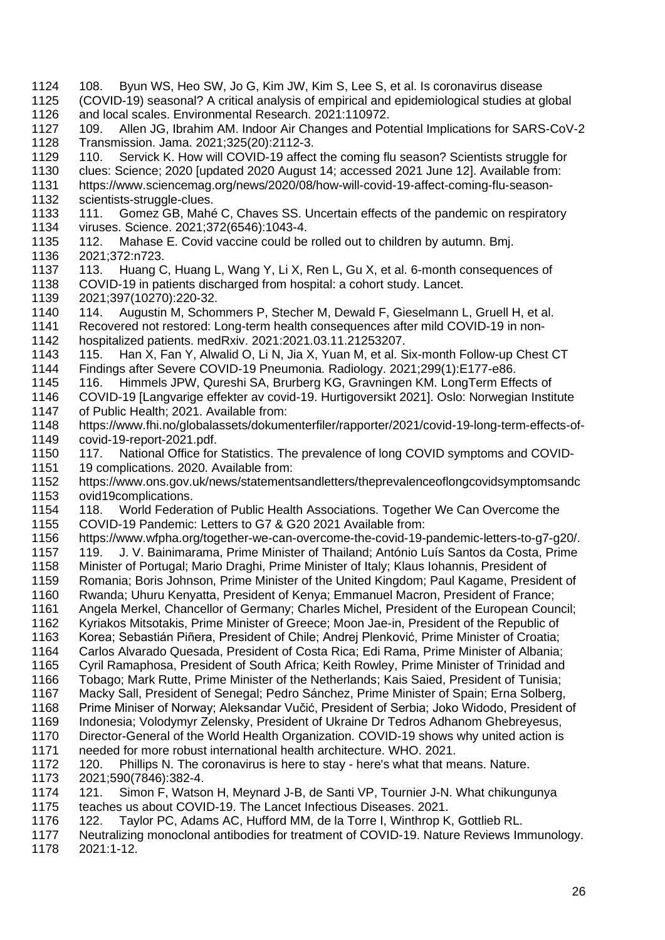- 108. Byun WS, Heo SW, Jo G, Kim JW, Kim S, Lee S, et al. Is coronavirus disease (COVID-19) seasonal? A critical analysis of empirical and epidemiological studies at global and local scales. Environmental Research. 2021:110972.
- 109. Allen JG, Ibrahim AM. Indoor Air Changes and Potential Implications for SARS-CoV-2 Transmission. Jama. 2021;325(20):2112-3.
- 1129 110. Servick K. How will COVID-19 affect the coming flu season? Scientists struggle for
- clues: Science; 2020 [updated 2020 August 14; accessed 2021 June 12]. Available from:
- https://www.sciencemag.org/news/2020/08/how-will-covid-19-affect-coming-flu-season-1132 scientists-struggle-clues.
- 1133 111. Gomez GB, Mahé C, Chaves SS. Uncertain effects of the pandemic on respiratory viruses. Science. 2021;372(6546):1043-4.
- 112. Mahase E. Covid vaccine could be rolled out to children by autumn. Bmj. 2021;372:n723.
- 113. Huang C, Huang L, Wang Y, Li X, Ren L, Gu X, et al. 6-month consequences of COVID-19 in patients discharged from hospital: a cohort study. Lancet.
- 
- 2021;397(10270):220-32. 114. Augustin M, Schommers P, Stecher M, Dewald F, Gieselmann L, Gruell H, et al.
- Recovered not restored: Long-term health consequences after mild COVID-19 in non-hospitalized patients. medRxiv. 2021:2021.03.11.21253207.
- 115. Han X, Fan Y, Alwalid O, Li N, Jia X, Yuan M, et al. Six-month Follow-up Chest CT Findings after Severe COVID-19 Pneumonia. Radiology. 2021;299(1):E177-e86.
- 1145 116. Himmels JPW, Qureshi SA, Brurberg KG, Gravningen KM. LongTerm Effects of 1146 COVID-19 [Langvarige effekter av covid-19. Hurtigoversikt 2021]. Oslo: Norwegian Insti COVID-19 [Langvarige effekter av covid-19. Hurtigoversikt 2021]. Oslo: Norwegian Institute
- 1147 of Public Health; 2021. Available from:<br>1148 https://www.fhi.no/globalassets/dokume
- https://www.fhi.no/globalassets/dokumenterfiler/rapporter/2021/covid-19-long-term-effects-of-covid-19-report-2021.pdf.
- 1150 117. National Office for Statistics. The prevalence of long COVID symptoms and COVID-<br>1151 19 complications. 2020. Available from: 19 complications. 2020. Available from:
- https://www.ons.gov.uk/news/statementsandletters/theprevalenceoflongcovidsymptomsandc ovid19complications.
- 118. World Federation of Public Health Associations. Together We Can Overcome the COVID-19 Pandemic: Letters to G7 & G20 2021 Available from:
- https://www.wfpha.org/together-we-can-overcome-the-covid-19-pandemic-letters-to-g7-g20/.
- 119. J. V. Bainimarama, Prime Minister of Thailand; António Luís Santos da Costa, Prime
- Minister of Portugal; Mario Draghi, Prime Minister of Italy; Klaus Iohannis, President of
- Romania; Boris Johnson, Prime Minister of the United Kingdom; Paul Kagame, President of
- Rwanda; Uhuru Kenyatta, President of Kenya; Emmanuel Macron, President of France;
- Angela Merkel, Chancellor of Germany; Charles Michel, President of the European Council; Kyriakos Mitsotakis, Prime Minister of Greece; Moon Jae-in, President of the Republic of
- Korea; Sebastián Piñera, President of Chile; Andrej Plenković, Prime Minister of Croatia;
- Carlos Alvarado Quesada, President of Costa Rica; Edi Rama, Prime Minister of Albania;
- Cyril Ramaphosa, President of South Africa; Keith Rowley, Prime Minister of Trinidad and
- Tobago; Mark Rutte, Prime Minister of the Netherlands; Kais Saied, President of Tunisia;
- Macky Sall, President of Senegal; Pedro Sánchez, Prime Minister of Spain; Erna Solberg,
- Prime Miniser of Norway; Aleksandar Vučić, President of Serbia; Joko Widodo, President of
- Indonesia; Volodymyr Zelensky, President of Ukraine Dr Tedros Adhanom Ghebreyesus,
- Director-General of the World Health Organization. COVID-19 shows why united action is
- 1171 needed for more robust international health architecture. WHO. 2021.<br>1172 120. Phillips N. The coronavirus is here to stay here's what that me 120. Phillips N. The coronavirus is here to stay - here's what that means. Nature.
- 2021;590(7846):382-4.
- 121. Simon F, Watson H, Meynard J-B, de Santi VP, Tournier J-N. What chikungunya teaches us about COVID-19. The Lancet Infectious Diseases. 2021.
- 122. Taylor PC, Adams AC, Hufford MM, de la Torre I, Winthrop K, Gottlieb RL.
- Neutralizing monoclonal antibodies for treatment of COVID-19. Nature Reviews Immunology.
- 2021:1-12.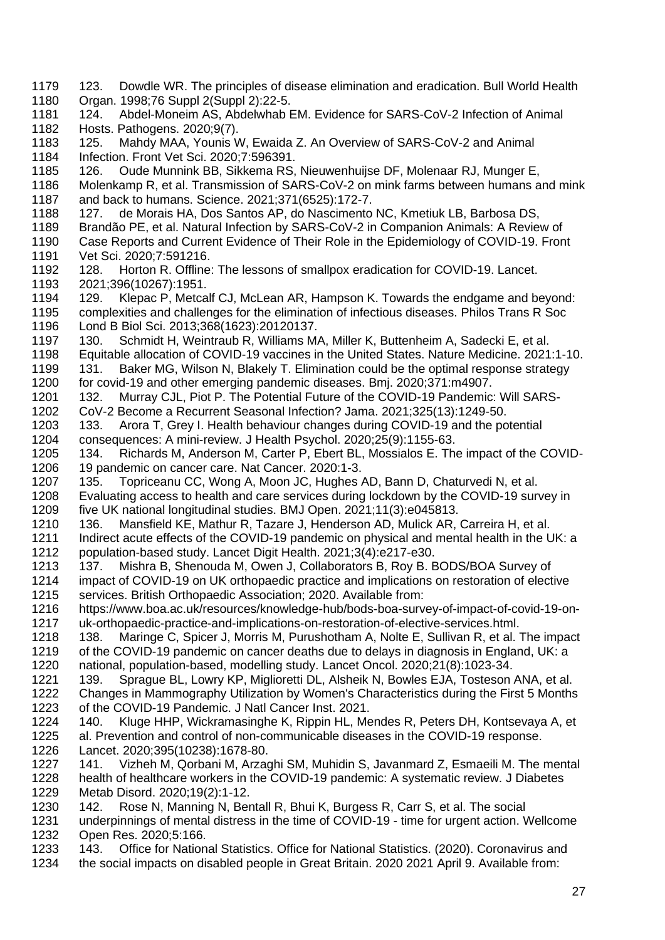- 123. Dowdle WR. The principles of disease elimination and eradication. Bull World Health Organ. 1998;76 Suppl 2(Suppl 2):22-5. 124. Abdel-Moneim AS, Abdelwhab EM. Evidence for SARS-CoV-2 Infection of Animal Hosts. Pathogens. 2020;9(7). 125. Mahdy MAA, Younis W, Ewaida Z. An Overview of SARS-CoV-2 and Animal Infection. Front Vet Sci. 2020;7:596391. 126. Oude Munnink BB, Sikkema RS, Nieuwenhuijse DF, Molenaar RJ, Munger E, Molenkamp R, et al. Transmission of SARS-CoV-2 on mink farms between humans and mink and back to humans. Science. 2021;371(6525):172-7. 127. de Morais HA, Dos Santos AP, do Nascimento NC, Kmetiuk LB, Barbosa DS, Brandão PE, et al. Natural Infection by SARS-CoV-2 in Companion Animals: A Review of Case Reports and Current Evidence of Their Role in the Epidemiology of COVID-19. Front Vet Sci. 2020;7:591216. 128. Horton R. Offline: The lessons of smallpox eradication for COVID-19. Lancet. 2021;396(10267):1951. 1194 129. Klepac P, Metcalf CJ, McLean AR, Hampson K. Towards the endgame and beyond:<br>1195 complexities and challenges for the elimination of infectious diseases. Philos Trans R Soc complexities and challenges for the elimination of infectious diseases. Philos Trans R Soc Lond B Biol Sci. 2013;368(1623):20120137. 130. Schmidt H, Weintraub R, Williams MA, Miller K, Buttenheim A, Sadecki E, et al. Equitable allocation of COVID-19 vaccines in the United States. Nature Medicine. 2021:1-10. 1199 131. Baker MG, Wilson N, Blakely T. Elimination could be the optimal response strategy for covid-19 and other emerging pandemic diseases. Bmj. 2020;371:m4907. 132. Murray CJL, Piot P. The Potential Future of the COVID-19 Pandemic: Will SARS- CoV-2 Become a Recurrent Seasonal Infection? Jama. 2021;325(13):1249-50. 133. Arora T, Grey I. Health behaviour changes during COVID-19 and the potential consequences: A mini-review. J Health Psychol. 2020;25(9):1155-63. 134. Richards M, Anderson M, Carter P, Ebert BL, Mossialos E. The impact of the COVID- 19 pandemic on cancer care. Nat Cancer. 2020:1-3. 135. Topriceanu CC, Wong A, Moon JC, Hughes AD, Bann D, Chaturvedi N, et al. Evaluating access to health and care services during lockdown by the COVID-19 survey in five UK national longitudinal studies. BMJ Open. 2021;11(3):e045813. 136. Mansfield KE, Mathur R, Tazare J, Henderson AD, Mulick AR, Carreira H, et al. 1211 Indirect acute effects of the COVID-19 pandemic on physical and mental health in the UK: a population-based study. Lancet Digit Health. 2021;3(4):e217-e30. 137. Mishra B, Shenouda M, Owen J, Collaborators B, Roy B. BODS/BOA Survey of impact of COVID-19 on UK orthopaedic practice and implications on restoration of elective services. British Orthopaedic Association; 2020. Available from: https://www.boa.ac.uk/resources/knowledge-hub/bods-boa-survey-of-impact-of-covid-19-on- uk-orthopaedic-practice-and-implications-on-restoration-of-elective-services.html. 138. Maringe C, Spicer J, Morris M, Purushotham A, Nolte E, Sullivan R, et al. The impact 1219 of the COVID-19 pandemic on cancer deaths due to delays in diagnosis in England, UK: a national, population-based, modelling study. Lancet Oncol. 2020;21(8):1023-34. 139. Sprague BL, Lowry KP, Miglioretti DL, Alsheik N, Bowles EJA, Tosteson ANA, et al. Changes in Mammography Utilization by Women's Characteristics during the First 5 Months of the COVID-19 Pandemic. J Natl Cancer Inst. 2021. 140. Kluge HHP, Wickramasinghe K, Rippin HL, Mendes R, Peters DH, Kontsevaya A, et al. Prevention and control of non-communicable diseases in the COVID-19 response. 1226 Lancet. 2020;395(10238):1678-80.<br>1227 141. Vizheh M. Qorbani M. Arzag 141. Vizheh M, Qorbani M, Arzaghi SM, Muhidin S, Javanmard Z, Esmaeili M, The mental health of healthcare workers in the COVID-19 pandemic: A systematic review. J Diabetes Metab Disord. 2020;19(2):1-12. 142. Rose N, Manning N, Bentall R, Bhui K, Burgess R, Carr S, et al. The social underpinnings of mental distress in the time of COVID-19 - time for urgent action. Wellcome Open Res. 2020;5:166.
- 143. Office for National Statistics. Office for National Statistics. (2020). Coronavirus and
- the social impacts on disabled people in Great Britain. 2020 2021 April 9. Available from: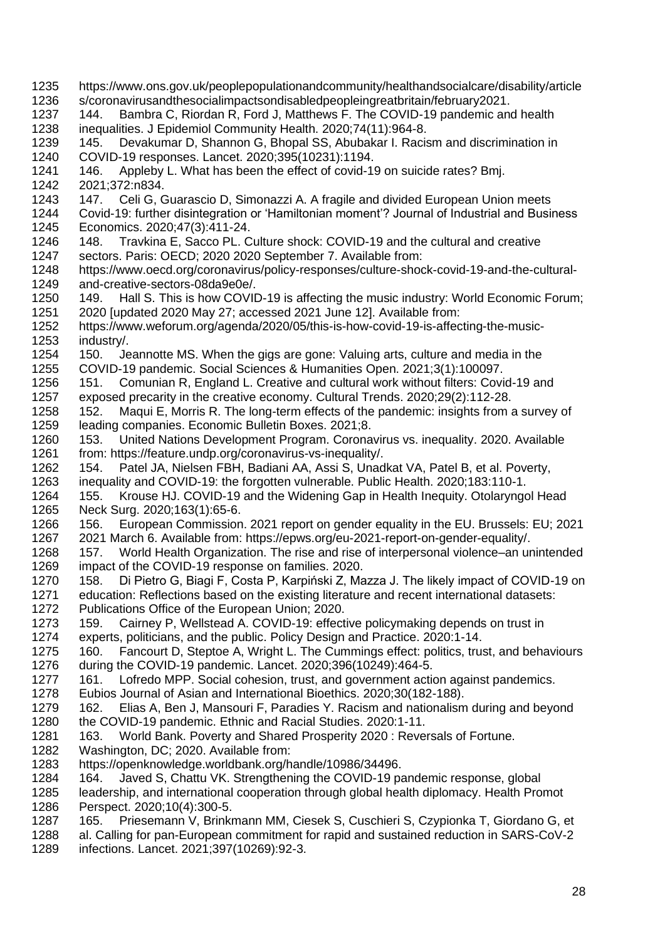- https://www.ons.gov.uk/peoplepopulationandcommunity/healthandsocialcare/disability/article s/coronavirusandthesocialimpactsondisabledpeopleingreatbritain/february2021. 1237 144. Bambra C, Riordan R, Ford J, Matthews F. The COVID-19 pandemic and health 1238 inequalities. J Epidemiol Community Health. 2020:74(11):964-8. inequalities. J Epidemiol Community Health. 2020;74(11):964-8. 145. Devakumar D, Shannon G, Bhopal SS, Abubakar I. Racism and discrimination in COVID-19 responses. Lancet. 2020;395(10231):1194. 146. Appleby L. What has been the effect of covid-19 on suicide rates? Bmj. 2021;372:n834. 147. Celi G, Guarascio D, Simonazzi A. A fragile and divided European Union meets Covid-19: further disintegration or 'Hamiltonian moment'? Journal of Industrial and Business Economics. 2020;47(3):411-24. 148. Travkina E, Sacco PL. Culture shock: COVID-19 and the cultural and creative sectors. Paris: OECD; 2020 2020 September 7. Available from: https://www.oecd.org/coronavirus/policy-responses/culture-shock-covid-19-and-the-cultural- and-creative-sectors-08da9e0e/. 1250 149. Hall S. This is how COVID-19 is affecting the music industry: World Economic Forum;<br>1251 2020 lupdated 2020 May 27: accessed 2021 June 121. Available from: 2020 Iupdated 2020 May 27; accessed 2021 June 12]. Available from: https://www.weforum.org/agenda/2020/05/this-is-how-covid-19-is-affecting-the-music- industry/. 150. Jeannotte MS. When the gigs are gone: Valuing arts, culture and media in the COVID-19 pandemic. Social Sciences & Humanities Open. 2021;3(1):100097. 151. Comunian R, England L. Creative and cultural work without filters: Covid-19 and exposed precarity in the creative economy. Cultural Trends. 2020;29(2):112-28. 1258 152. Maqui E, Morris R. The long-term effects of the pandemic: insights from a survey of 1259 leading companies. Economic Bulletin Boxes. 2021:8. leading companies. Economic Bulletin Boxes. 2021;8. 153. United Nations Development Program. Coronavirus vs. inequality. 2020. Available from: https://feature.undp.org/coronavirus-vs-inequality/. 154. Patel JA, Nielsen FBH, Badiani AA, Assi S, Unadkat VA, Patel B, et al. Poverty, inequality and COVID-19: the forgotten vulnerable. Public Health. 2020;183:110-1. 155. Krouse HJ. COVID-19 and the Widening Gap in Health Inequity. Otolaryngol Head Neck Surg. 2020;163(1):65-6. 156. European Commission. 2021 report on gender equality in the EU. Brussels: EU; 2021 2021 March 6. Available from: https://epws.org/eu-2021-report-on-gender-equality/. 157. World Health Organization. The rise and rise of interpersonal violence–an unintended impact of the COVID-19 response on families. 2020. 158. Di Pietro G, Biagi F, Costa P, Karpiński Z, Mazza J. The likely impact of COVID-19 on education: Reflections based on the existing literature and recent international datasets: Publications Office of the European Union; 2020. 159. Cairney P, Wellstead A. COVID-19: effective policymaking depends on trust in experts, politicians, and the public. Policy Design and Practice. 2020:1-14. 160. Fancourt D, Steptoe A, Wright L. The Cummings effect: politics, trust, and behaviours during the COVID-19 pandemic. Lancet. 2020;396(10249):464-5. 161. Lofredo MPP. Social cohesion, trust, and government action against pandemics. Eubios Journal of Asian and International Bioethics. 2020;30(182-188). 162. Elias A, Ben J, Mansouri F, Paradies Y. Racism and nationalism during and beyond the COVID-19 pandemic. Ethnic and Racial Studies. 2020:1-11. 163. World Bank. Poverty and Shared Prosperity 2020 : Reversals of Fortune. Washington, DC; 2020. Available from: https://openknowledge.worldbank.org/handle/10986/34496. 164. Javed S, Chattu VK. Strengthening the COVID-19 pandemic response, global leadership, and international cooperation through global health diplomacy. Health Promot Perspect. 2020;10(4):300-5. 165. Priesemann V, Brinkmann MM, Ciesek S, Cuschieri S, Czypionka T, Giordano G, et al. Calling for pan-European commitment for rapid and sustained reduction in SARS-CoV-2
	- infections. Lancet. 2021;397(10269):92-3.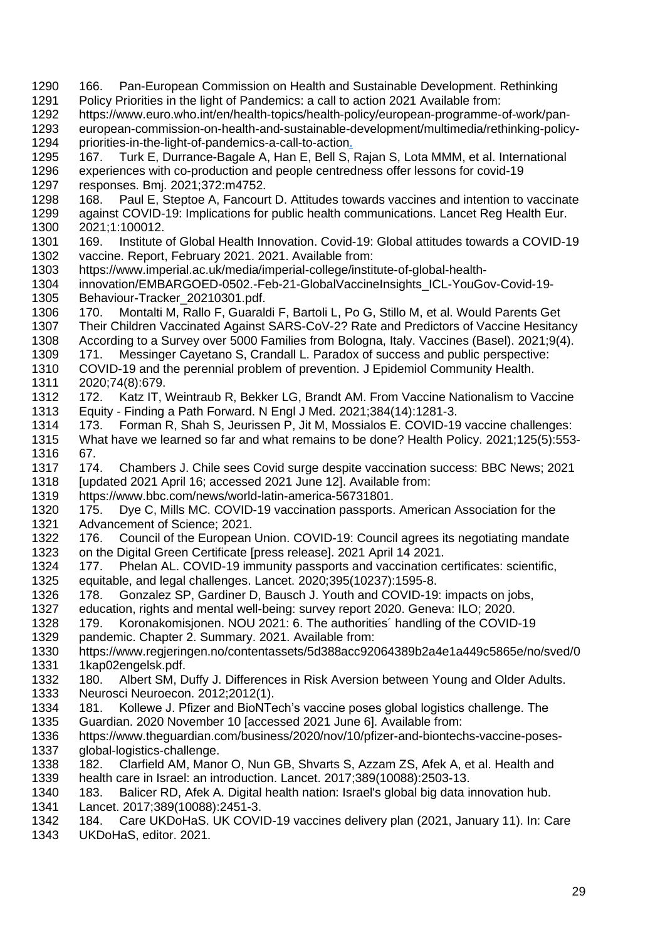- 166. Pan-European Commission on Health and Sustainable Development. Rethinking Policy Priorities in the light of Pandemics: a call to action 2021 Available from:
- https://www.euro.who.int/en/health-topics/health-policy/european-programme-of-work/pan-
- european-commission-on-health-and-sustainable-development/multimedia/rethinking-policy-priorities-in-the-light-of-pandemics-a-call-to-action.
- 167. Turk E, Durrance-Bagale A, Han E, Bell S, Rajan S, Lota MMM, et al. International experiences with co-production and people centredness offer lessons for covid-19 responses. Bmj. 2021;372:m4752.
- 168. Paul E, Steptoe A, Fancourt D. Attitudes towards vaccines and intention to vaccinate against COVID-19: Implications for public health communications. Lancet Reg Health Eur.
- 2021;1:100012.
- 169. Institute of Global Health Innovation. Covid-19: Global attitudes towards a COVID-19 vaccine. Report, February 2021. 2021. Available from:
- https://www.imperial.ac.uk/media/imperial-college/institute-of-global-health-
- innovation/EMBARGOED-0502.-Feb-21-GlobalVaccineInsights\_ICL-YouGov-Covid-19- 1305 Behaviour-Tracker\_20210301.pdf.<br>1306 170. Montalti M. Rallo F. Guarald
- 170. Montalti M, Rallo F, Guaraldi F, Bartoli L, Po G, Stillo M, et al. Would Parents Get Their Children Vaccinated Against SARS-CoV-2? Rate and Predictors of Vaccine Hesitancy According to a Survey over 5000 Families from Bologna, Italy. Vaccines (Basel). 2021;9(4).
- 171. Messinger Cayetano S, Crandall L. Paradox of success and public perspective:
- COVID-19 and the perennial problem of prevention. J Epidemiol Community Health.
- 2020;74(8):679.
- 172. Katz IT, Weintraub R, Bekker LG, Brandt AM. From Vaccine Nationalism to Vaccine 1313 Equity - Finding a Path Forward. N Engl J Med. 2021;384(14):1281-3.<br>1314 173. Forman R. Shah S. Jeurissen P. Jit M. Mossialos E. COVID-19
- 173. Forman R, Shah S, Jeurissen P, Jit M, Mossialos E. COVID-19 vaccine challenges: What have we learned so far and what remains to be done? Health Policy. 2021;125(5):553- 67.
- 174. Chambers J. Chile sees Covid surge despite vaccination success: BBC News; 2021 [updated 2021 April 16; accessed 2021 June 12]. Available from:
- https://www.bbc.com/news/world-latin-america-56731801.
- 175. Dye C, Mills MC. COVID-19 vaccination passports. American Association for the Advancement of Science; 2021.
- 176. Council of the European Union. COVID-19: Council agrees its negotiating mandate on the Digital Green Certificate [press release]. 2021 April 14 2021.
- 177. Phelan AL. COVID-19 immunity passports and vaccination certificates: scientific, equitable, and legal challenges. Lancet. 2020;395(10237):1595-8.
- 178. Gonzalez SP, Gardiner D, Bausch J. Youth and COVID-19: impacts on jobs, education, rights and mental well-being: survey report 2020. Geneva: ILO; 2020.
- 179. Koronakomisjonen. NOU 2021: 6. The authorities´ handling of the COVID-19
- pandemic. Chapter 2. Summary. 2021. Available from:
- https://www.regjeringen.no/contentassets/5d388acc92064389b2a4e1a449c5865e/no/sved/0 1kap02engelsk.pdf.
- 180. Albert SM, Duffy J. Differences in Risk Aversion between Young and Older Adults. Neurosci Neuroecon. 2012;2012(1).
- 181. Kollewe J. Pfizer and BioNTech's vaccine poses global logistics challenge. The Guardian. 2020 November 10 [accessed 2021 June 6]. Available from:
- https://www.theguardian.com/business/2020/nov/10/pfizer-and-biontechs-vaccine-poses-1337 global-logistics-challenge.<br>1338 182. Clarfield AM. Mano
- 182. Clarfield AM, Manor O, Nun GB, Shvarts S, Azzam ZS, Afek A, et al. Health and health care in Israel: an introduction. Lancet. 2017;389(10088):2503-13.
- 183. Balicer RD, Afek A. Digital health nation: Israel's global big data innovation hub. Lancet. 2017;389(10088):2451-3.
- 184. Care UKDoHaS. UK COVID-19 vaccines delivery plan (2021, January 11). In: Care UKDoHaS, editor. 2021.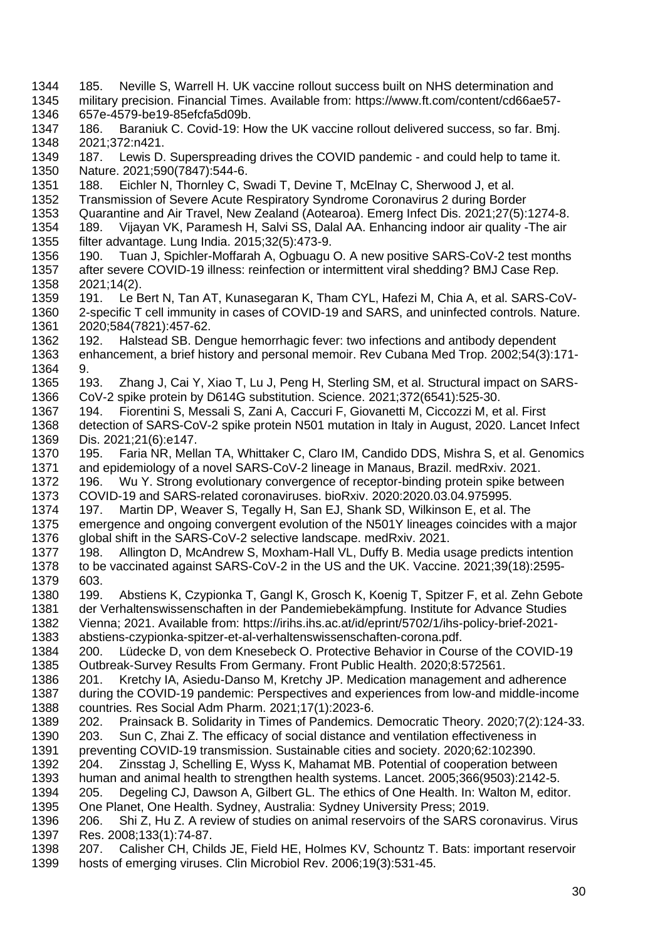- 185. Neville S, Warrell H. UK vaccine rollout success built on NHS determination and military precision. Financial Times. Available from: https://www.ft.com/content/cd66ae57- 657e-4579-be19-85efcfa5d09b. 186. Baraniuk C. Covid-19: How the UK vaccine rollout delivered success, so far. Bmj. 2021;372:n421. 187. Lewis D. Superspreading drives the COVID pandemic - and could help to tame it. Nature. 2021;590(7847):544-6. 188. Eichler N, Thornley C, Swadi T, Devine T, McElnay C, Sherwood J, et al. Transmission of Severe Acute Respiratory Syndrome Coronavirus 2 during Border Quarantine and Air Travel, New Zealand (Aotearoa). Emerg Infect Dis. 2021;27(5):1274-8. 189. Vijayan VK, Paramesh H, Salvi SS, Dalal AA. Enhancing indoor air quality -The air filter advantage. Lung India. 2015;32(5):473-9. 190. Tuan J, Spichler-Moffarah A, Ogbuagu O. A new positive SARS-CoV-2 test months after severe COVID-19 illness: reinfection or intermittent viral shedding? BMJ Case Rep. 2021;14(2). 1359 191. Le Bert N, Tan AT, Kunasegaran K, Tham CYL, Hafezi M, Chia A, et al. SARS-CoV-<br>1360 2-specific T cell immunity in cases of COVID-19 and SARS, and uninfected controls, Nature. 2-specific T cell immunity in cases of COVID-19 and SARS, and uninfected controls. Nature. 2020;584(7821):457-62. 192. Halstead SB. Dengue hemorrhagic fever: two infections and antibody dependent enhancement, a brief history and personal memoir. Rev Cubana Med Trop. 2002;54(3):171- 9. 193. Zhang J, Cai Y, Xiao T, Lu J, Peng H, Sterling SM, et al. Structural impact on SARS- CoV-2 spike protein by D614G substitution. Science. 2021;372(6541):525-30. 194. Fiorentini S, Messali S, Zani A, Caccuri F, Giovanetti M, Ciccozzi M, et al. First detection of SARS-CoV-2 spike protein N501 mutation in Italy in August, 2020. Lancet Infect Dis. 2021;21(6):e147. 195. Faria NR, Mellan TA, Whittaker C, Claro IM, Candido DDS, Mishra S, et al. Genomics and epidemiology of a novel SARS-CoV-2 lineage in Manaus, Brazil. medRxiv. 2021. 196. Wu Y. Strong evolutionary convergence of receptor-binding protein spike between COVID-19 and SARS-related coronaviruses. bioRxiv. 2020:2020.03.04.975995. 197. Martin DP, Weaver S, Tegally H, San EJ, Shank SD, Wilkinson E, et al. The emergence and ongoing convergent evolution of the N501Y lineages coincides with a major global shift in the SARS-CoV-2 selective landscape. medRxiv. 2021. 198. Allington D, McAndrew S, Moxham-Hall VL, Duffy B. Media usage predicts intention to be vaccinated against SARS-CoV-2 in the US and the UK. Vaccine. 2021;39(18):2595- 603. 199. Abstiens K, Czypionka T, Gangl K, Grosch K, Koenig T, Spitzer F, et al. Zehn Gebote der Verhaltenswissenschaften in der Pandemiebekämpfung. Institute for Advance Studies Vienna; 2021. Available from: https://irihs.ihs.ac.at/id/eprint/5702/1/ihs-policy-brief-2021- abstiens-czypionka-spitzer-et-al-verhaltenswissenschaften-corona.pdf. 200. Lüdecke D, von dem Knesebeck O. Protective Behavior in Course of the COVID-19 Outbreak-Survey Results From Germany. Front Public Health. 2020;8:572561. 201. Kretchy IA, Asiedu-Danso M, Kretchy JP. Medication management and adherence during the COVID-19 pandemic: Perspectives and experiences from low-and middle-income countries. Res Social Adm Pharm. 2021;17(1):2023-6. 202. Prainsack B. Solidarity in Times of Pandemics. Democratic Theory. 2020;7(2):124-33. 203. Sun C, Zhai Z. The efficacy of social distance and ventilation effectiveness in preventing COVID-19 transmission. Sustainable cities and society. 2020;62:102390. 204. Zinsstag J, Schelling E, Wyss K, Mahamat MB. Potential of cooperation between human and animal health to strengthen health systems. Lancet. 2005;366(9503):2142-5. 205. Degeling CJ, Dawson A, Gilbert GL. The ethics of One Health. In: Walton M, editor. One Planet, One Health. Sydney, Australia: Sydney University Press; 2019. 206. Shi Z, Hu Z. A review of studies on animal reservoirs of the SARS coronavirus. Virus Res. 2008;133(1):74-87.
- 207. Calisher CH, Childs JE, Field HE, Holmes KV, Schountz T. Bats: important reservoir hosts of emerging viruses. Clin Microbiol Rev. 2006;19(3):531-45.